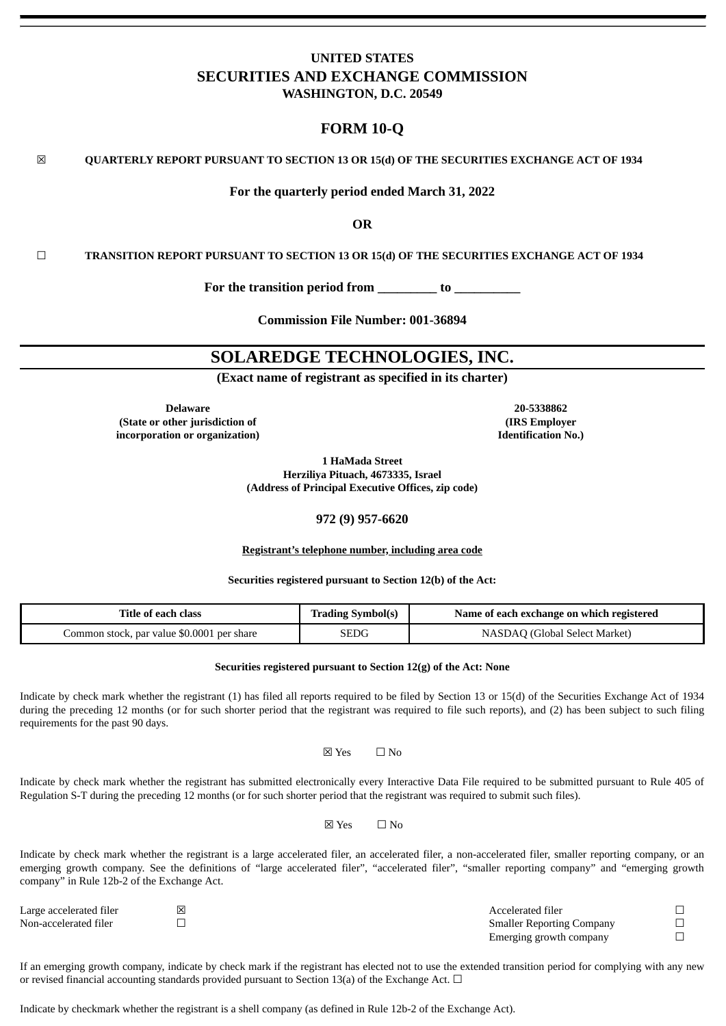# **UNITED STATES SECURITIES AND EXCHANGE COMMISSION WASHINGTON, D.C. 20549**

# **FORM 10-Q**

☒ **QUARTERLY REPORT PURSUANT TO SECTION 13 OR 15(d) OF THE SECURITIES EXCHANGE ACT OF 1934**

## **For the quarterly period ended March 31, 2022**

**OR**

☐ **TRANSITION REPORT PURSUANT TO SECTION 13 OR 15(d) OF THE SECURITIES EXCHANGE ACT OF 1934**

For the transition period from **the transition of the stranding of the to the to the stranding of the to the to the to the stranding of the to the to the to the to the to the to the to the to the to the to the to the to th** 

**Commission File Number: 001-36894**

# **SOLAREDGE TECHNOLOGIES, INC.**

**(Exact name of registrant as specified in its charter)**

**Delaware 20-5338862 (State or other jurisdiction of incorporation or organization)**

**(IRS Employer Identification No.)**

**1 HaMada Street Herziliya Pituach, 4673335, Israel (Address of Principal Executive Offices, zip code)**

**972 (9) 957-6620**

**Registrant's telephone number, including area code**

**Securities registered pursuant to Section 12(b) of the Act:**

| Title of each class                        | Trading Symbol(s) | Name of each exchange on which registered |  |  |  |  |  |
|--------------------------------------------|-------------------|-------------------------------------------|--|--|--|--|--|
| Common stock, par value \$0.0001 per share | SEDG              | NASDAQ (Global Select Market)             |  |  |  |  |  |

#### **Securities registered pursuant to Section 12(g) of the Act: None**

Indicate by check mark whether the registrant (1) has filed all reports required to be filed by Section 13 or 15(d) of the Securities Exchange Act of 1934 during the preceding 12 months (or for such shorter period that the registrant was required to file such reports), and (2) has been subject to such filing requirements for the past 90 days.

☒ Yes ☐ No

Indicate by check mark whether the registrant has submitted electronically every Interactive Data File required to be submitted pursuant to Rule 405 of Regulation S-T during the preceding 12 months (or for such shorter period that the registrant was required to submit such files).

 $\boxtimes$  Yes  $\Box$  No

Indicate by check mark whether the registrant is a large accelerated filer, an accelerated filer, a non-accelerated filer, smaller reporting company, or an emerging growth company. See the definitions of "large accelerated filer", "accelerated filer", "smaller reporting company" and "emerging growth company" in Rule 12b-2 of the Exchange Act.

| Large accelerated filer | ⊠ | Accelerated filer                |  |
|-------------------------|---|----------------------------------|--|
| Non-accelerated filer   |   | <b>Smaller Reporting Company</b> |  |
|                         |   | Emerging growth company          |  |

If an emerging growth company, indicate by check mark if the registrant has elected not to use the extended transition period for complying with any new or revised financial accounting standards provided pursuant to Section 13(a) of the Exchange Act.  $\Box$ 

Indicate by checkmark whether the registrant is a shell company (as defined in Rule 12b-2 of the Exchange Act).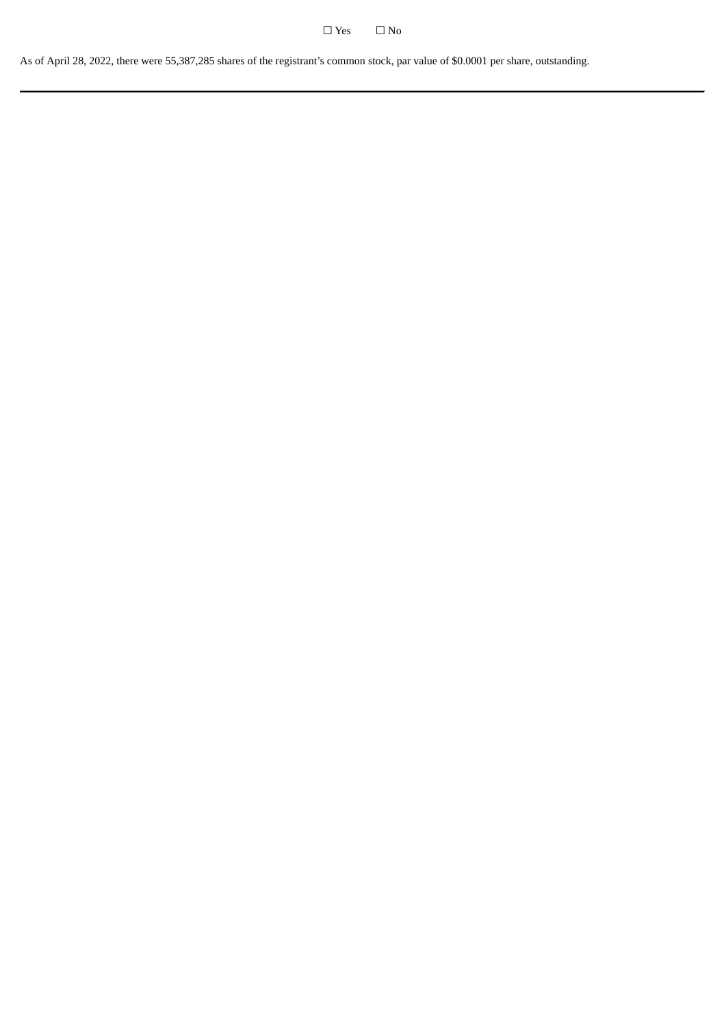$\square$  Yes  $\square$  No

As of April 28, 2022, there were 55,387,285 shares of the registrant's common stock, par value of \$0.0001 per share, outstanding.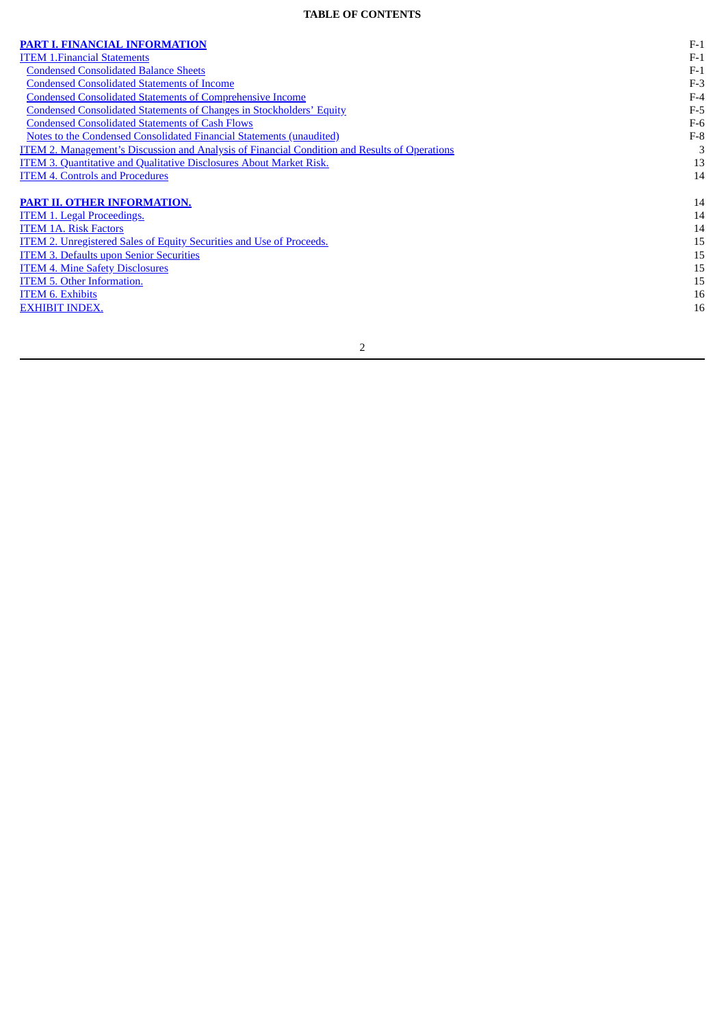# **TABLE OF CONTENTS**

| <b>PART I. FINANCIAL INFORMATION</b> |
|--------------------------------------|
|--------------------------------------|

| <b>PART I. FINANCIAL INFORMATION</b>                                                                 | $F-1$ |
|------------------------------------------------------------------------------------------------------|-------|
| <b>ITEM 1. Financial Statements</b>                                                                  | $F-1$ |
| <b>Condensed Consolidated Balance Sheets</b>                                                         | $F-1$ |
| <b>Condensed Consolidated Statements of Income</b>                                                   | $F-3$ |
| <b>Condensed Consolidated Statements of Comprehensive Income</b>                                     | $F-4$ |
| <b>Condensed Consolidated Statements of Changes in Stockholders' Equity</b>                          | $F-5$ |
| <b>Condensed Consolidated Statements of Cash Flows</b>                                               | $F-6$ |
| Notes to the Condensed Consolidated Financial Statements (unaudited)                                 | $F-8$ |
| <b>ITEM 2. Management's Discussion and Analysis of Financial Condition and Results of Operations</b> | 3     |
| <b>ITEM 3. Quantitative and Qualitative Disclosures About Market Risk.</b>                           | 13    |
| <b>ITEM 4. Controls and Procedures</b>                                                               | 14    |
| PART II. OTHER INFORMATION.                                                                          | 14    |
| <b>ITEM 1. Legal Proceedings.</b>                                                                    | 14    |
| <b>ITEM 1A. Risk Factors</b>                                                                         | 14    |
| <b>ITEM 2. Unregistered Sales of Equity Securities and Use of Proceeds.</b>                          | 15    |
| <b>ITEM 3. Defaults upon Senior Securities</b>                                                       | 15    |
| <b>ITEM 4. Mine Safety Disclosures</b>                                                               | 15    |
| <b>ITEM 5. Other Information.</b>                                                                    | 15    |
| <b>ITEM 6. Exhibits</b>                                                                              | 16    |
| <b>EXHIBIT INDEX.</b>                                                                                | 16    |

2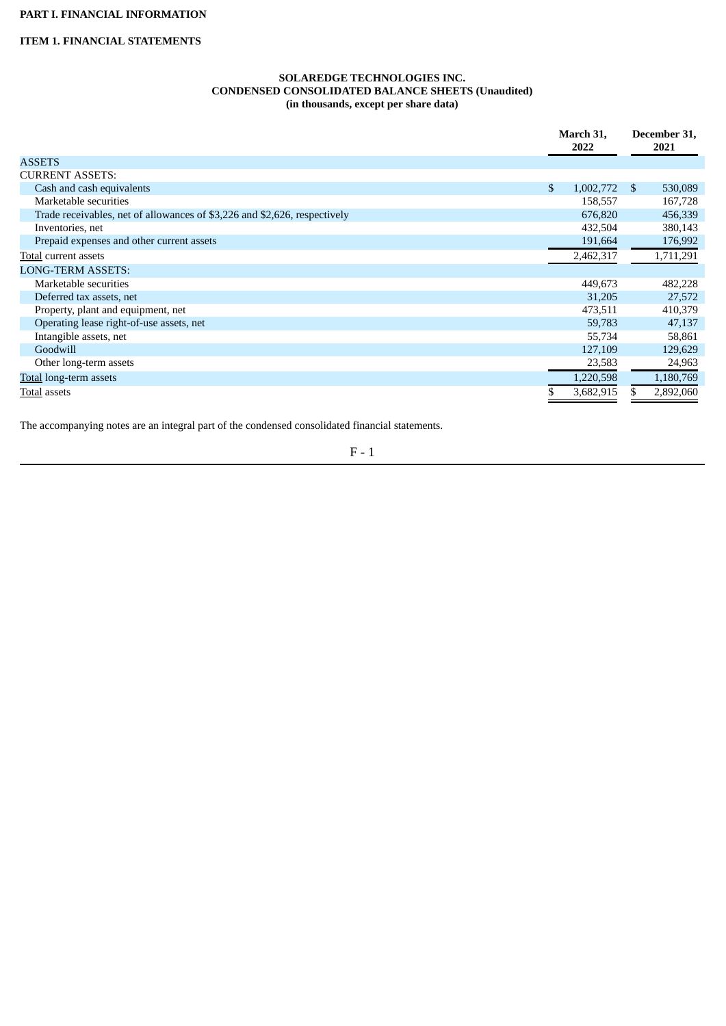# <span id="page-3-0"></span>**ITEM 1. FINANCIAL STATEMENTS**

## **SOLAREDGE TECHNOLOGIES INC. CONDENSED CONSOLIDATED BALANCE SHEETS (Unaudited) (in thousands, except per share data)**

<span id="page-3-1"></span>

|                                                                           | March 31,<br>2022 |               | December 31,<br>2021 |
|---------------------------------------------------------------------------|-------------------|---------------|----------------------|
| ASSETS                                                                    |                   |               |                      |
| <b>CURRENT ASSETS:</b>                                                    |                   |               |                      |
| Cash and cash equivalents                                                 | \$<br>1,002,772   | <sup>\$</sup> | 530,089              |
| Marketable securities                                                     | 158,557           |               | 167,728              |
| Trade receivables, net of allowances of \$3,226 and \$2,626, respectively | 676,820           |               | 456,339              |
| Inventories, net                                                          | 432,504           |               | 380,143              |
| Prepaid expenses and other current assets                                 | 191,664           |               | 176,992              |
| Total current assets                                                      | 2,462,317         |               | 1,711,291            |
| <b>LONG-TERM ASSETS:</b>                                                  |                   |               |                      |
| Marketable securities                                                     | 449,673           |               | 482,228              |
| Deferred tax assets, net                                                  | 31,205            |               | 27,572               |
| Property, plant and equipment, net                                        | 473,511           |               | 410,379              |
| Operating lease right-of-use assets, net                                  | 59,783            |               | 47,137               |
| Intangible assets, net                                                    | 55,734            |               | 58,861               |
| Goodwill                                                                  | 127,109           |               | 129,629              |
| Other long-term assets                                                    | 23,583            |               | 24,963               |
| Total long-term assets                                                    | 1,220,598         |               | 1,180,769            |
| Total assets                                                              | \$<br>3,682,915   | \$.           | 2,892,060            |

The accompanying notes are an integral part of the condensed consolidated financial statements.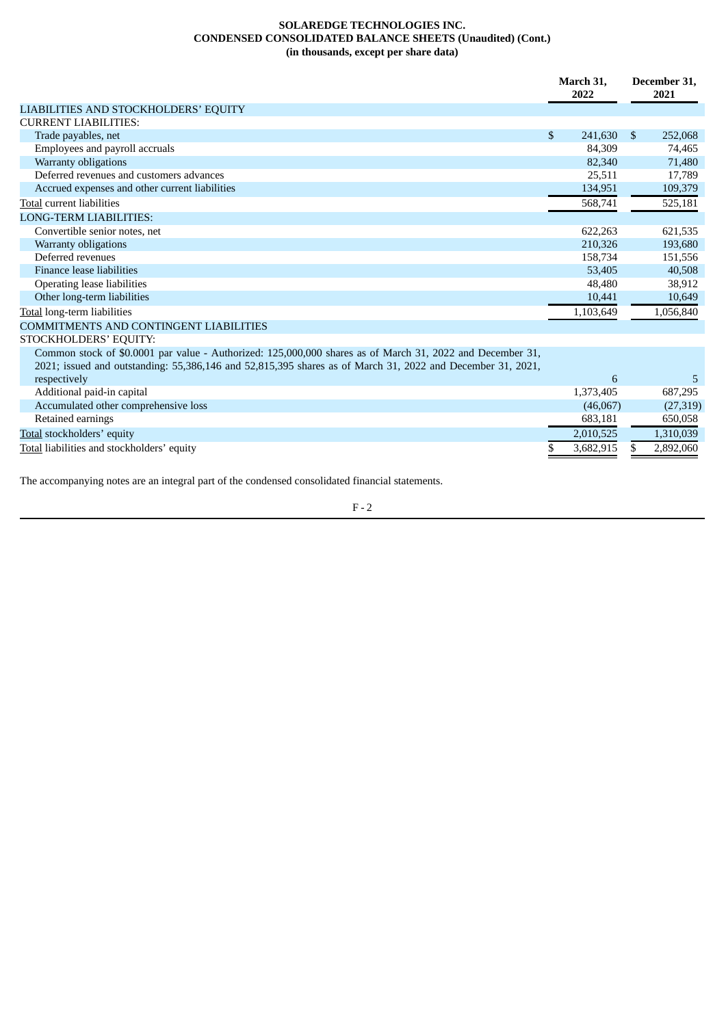### **SOLAREDGE TECHNOLOGIES INC. CONDENSED CONSOLIDATED BALANCE SHEETS (Unaudited) (Cont.) (in thousands, except per share data)**

|                                                                                                                                                                                                                         |    | March 31,<br>2022 |                | December 31,<br>2021 |
|-------------------------------------------------------------------------------------------------------------------------------------------------------------------------------------------------------------------------|----|-------------------|----------------|----------------------|
| LIABILITIES AND STOCKHOLDERS' EQUITY                                                                                                                                                                                    |    |                   |                |                      |
| <b>CURRENT LIABILITIES:</b>                                                                                                                                                                                             |    |                   |                |                      |
| Trade payables, net                                                                                                                                                                                                     | \$ | 241,630           | $\mathfrak{S}$ | 252,068              |
| Employees and payroll accruals                                                                                                                                                                                          |    | 84,309            |                | 74,465               |
| Warranty obligations                                                                                                                                                                                                    |    | 82,340            |                | 71,480               |
| Deferred revenues and customers advances                                                                                                                                                                                |    | 25,511            |                | 17,789               |
| Accrued expenses and other current liabilities                                                                                                                                                                          |    | 134,951           |                | 109,379              |
| Total current liabilities                                                                                                                                                                                               |    | 568,741           |                | 525,181              |
| <b>LONG-TERM LIABILITIES:</b>                                                                                                                                                                                           |    |                   |                |                      |
| Convertible senior notes, net                                                                                                                                                                                           |    | 622,263           |                | 621,535              |
| Warranty obligations                                                                                                                                                                                                    |    | 210,326           |                | 193,680              |
| Deferred revenues                                                                                                                                                                                                       |    | 158,734           |                | 151,556              |
| Finance lease liabilities                                                                                                                                                                                               |    | 53,405            |                | 40,508               |
| Operating lease liabilities                                                                                                                                                                                             |    | 48,480            |                | 38,912               |
| Other long-term liabilities                                                                                                                                                                                             |    | 10,441            |                | 10,649               |
| Total long-term liabilities                                                                                                                                                                                             |    | 1,103,649         |                | 1,056,840            |
| <b>COMMITMENTS AND CONTINGENT LIABILITIES</b>                                                                                                                                                                           |    |                   |                |                      |
| STOCKHOLDERS' EQUITY:                                                                                                                                                                                                   |    |                   |                |                      |
| Common stock of \$0.0001 par value - Authorized: 125,000,000 shares as of March 31, 2022 and December 31,<br>2021; issued and outstanding: 55,386,146 and 52,815,395 shares as of March 31, 2022 and December 31, 2021, |    |                   |                |                      |
| respectively                                                                                                                                                                                                            |    | 6                 |                | 5.                   |
| Additional paid-in capital                                                                                                                                                                                              |    | 1,373,405         |                | 687,295              |
| Accumulated other comprehensive loss                                                                                                                                                                                    |    | (46,067)          |                | (27, 319)            |
| Retained earnings                                                                                                                                                                                                       |    | 683,181           |                | 650,058              |
| Total stockholders' equity                                                                                                                                                                                              |    | 2,010,525         |                | 1,310,039            |
| Total liabilities and stockholders' equity                                                                                                                                                                              | S  | 3,682,915         | S              | 2,892,060            |

The accompanying notes are an integral part of the condensed consolidated financial statements.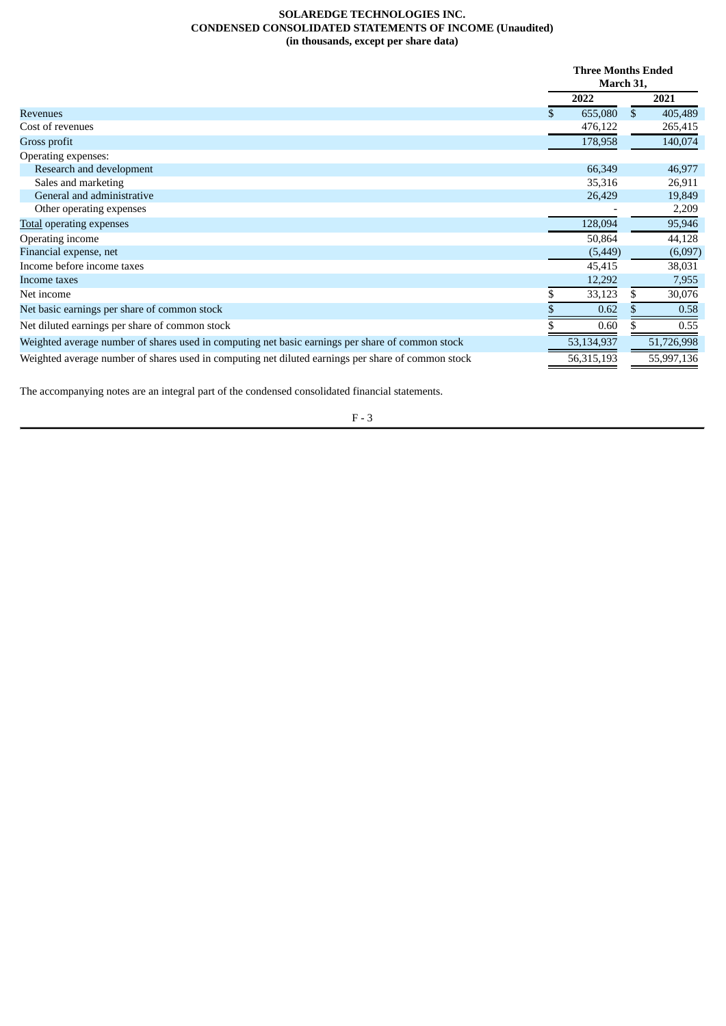## **SOLAREDGE TECHNOLOGIES INC. CONDENSED CONSOLIDATED STATEMENTS OF INCOME (Unaudited) (in thousands, except per share data)**

<span id="page-5-0"></span>

|                                                                                                    | <b>Three Months Ended</b><br>March 31, |            |     |            |
|----------------------------------------------------------------------------------------------------|----------------------------------------|------------|-----|------------|
|                                                                                                    |                                        | 2022       |     | 2021       |
| <b>Revenues</b>                                                                                    | \$                                     | 655,080    | \$. | 405,489    |
| Cost of revenues                                                                                   |                                        | 476,122    |     | 265,415    |
| Gross profit                                                                                       |                                        | 178,958    |     | 140,074    |
| Operating expenses:                                                                                |                                        |            |     |            |
| Research and development                                                                           |                                        | 66,349     |     | 46,977     |
| Sales and marketing                                                                                |                                        | 35,316     |     | 26,911     |
| General and administrative                                                                         |                                        | 26,429     |     | 19,849     |
| Other operating expenses                                                                           |                                        |            |     | 2,209      |
| <b>Total operating expenses</b>                                                                    |                                        | 128,094    |     | 95,946     |
| Operating income                                                                                   |                                        | 50,864     |     | 44,128     |
| Financial expense, net                                                                             |                                        | (5, 449)   |     | (6,097)    |
| Income before income taxes                                                                         |                                        | 45,415     |     | 38,031     |
| Income taxes                                                                                       |                                        | 12,292     |     | 7,955      |
| Net income                                                                                         |                                        | 33,123     | \$  | 30,076     |
| Net basic earnings per share of common stock                                                       |                                        | 0.62       |     | 0.58       |
| Net diluted earnings per share of common stock                                                     |                                        | 0.60       |     | 0.55       |
| Weighted average number of shares used in computing net basic earnings per share of common stock   |                                        | 53,134,937 |     | 51,726,998 |
| Weighted average number of shares used in computing net diluted earnings per share of common stock |                                        | 56,315,193 |     | 55,997,136 |

The accompanying notes are an integral part of the condensed consolidated financial statements.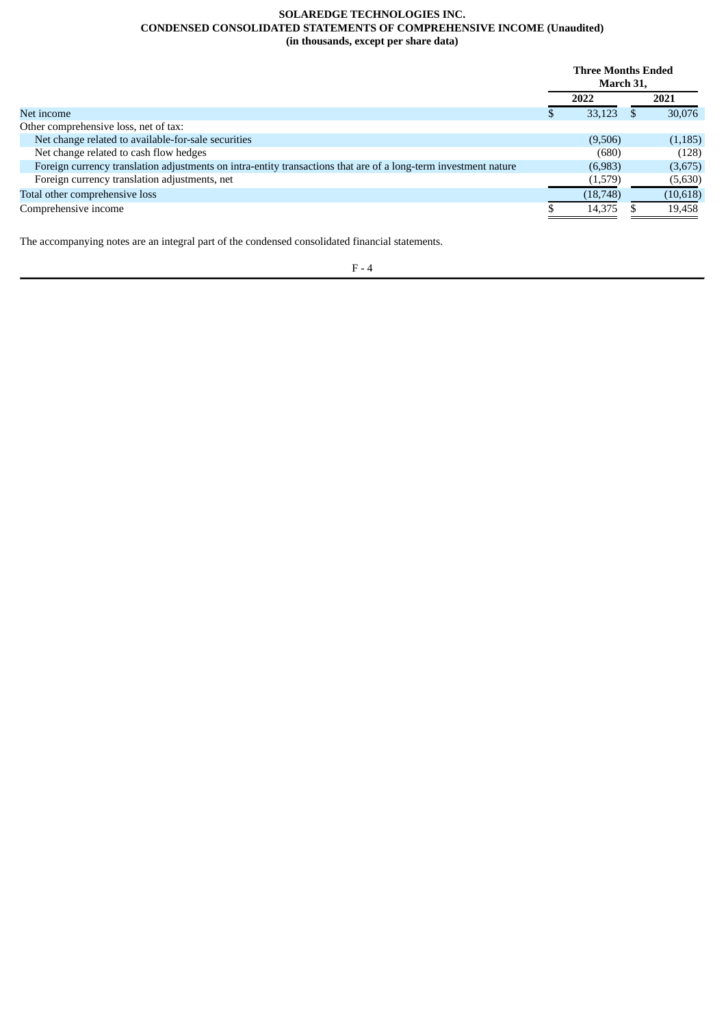## **SOLAREDGE TECHNOLOGIES INC. CONDENSED CONSOLIDATED STATEMENTS OF COMPREHENSIVE INCOME (Unaudited) (in thousands, except per share data)**

<span id="page-6-0"></span>

|                                                                                                                 |  | <b>Three Months Ended</b><br>March 31, |  |          |
|-----------------------------------------------------------------------------------------------------------------|--|----------------------------------------|--|----------|
|                                                                                                                 |  | 2022                                   |  | 2021     |
| Net income                                                                                                      |  | 33,123                                 |  | 30.076   |
| Other comprehensive loss, net of tax:                                                                           |  |                                        |  |          |
| Net change related to available-for-sale securities                                                             |  | (9,506)                                |  | (1, 185) |
| Net change related to cash flow hedges                                                                          |  | (680)                                  |  | (128)    |
| Foreign currency translation adjustments on intra-entity transactions that are of a long-term investment nature |  | (6,983)                                |  | (3,675)  |
| Foreign currency translation adjustments, net                                                                   |  | (1,579)                                |  | (5,630)  |
| Total other comprehensive loss                                                                                  |  | (18, 748)                              |  | (10,618) |
| Comprehensive income                                                                                            |  | 14,375                                 |  | 19,458   |
|                                                                                                                 |  |                                        |  |          |

The accompanying notes are an integral part of the condensed consolidated financial statements.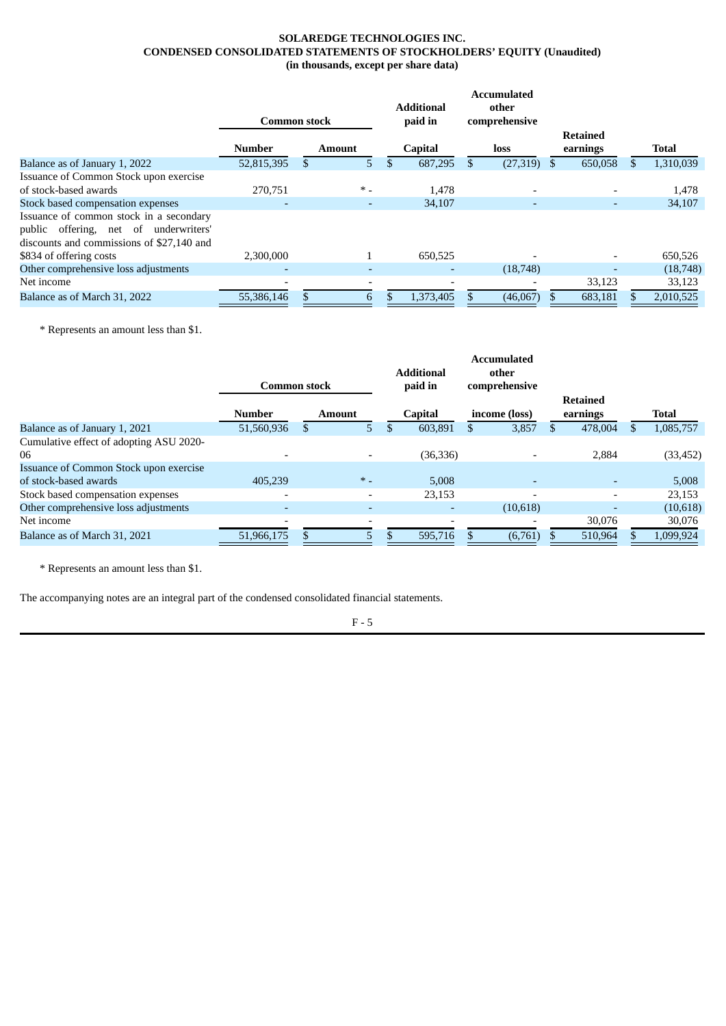## **SOLAREDGE TECHNOLOGIES INC. CONDENSED CONSOLIDATED STATEMENTS OF STOCKHOLDERS' EQUITY (Unaudited) (in thousands, except per share data)**

<span id="page-7-0"></span>

|                                                                                                                               | <b>Common stock</b>      |    |                          |    | <b>Additional</b><br>paid in | <b>Accumulated</b><br>other<br>comprehensive |    |                             |           |
|-------------------------------------------------------------------------------------------------------------------------------|--------------------------|----|--------------------------|----|------------------------------|----------------------------------------------|----|-----------------------------|-----------|
|                                                                                                                               | <b>Number</b>            |    | <b>Amount</b>            |    | <b>Capital</b>               | loss                                         |    | <b>Retained</b><br>earnings | Total     |
| Balance as of January 1, 2022                                                                                                 | 52,815,395               | S. | 5.                       | \$ | 687,295                      | (27,319)                                     | S. | 650,058                     | 1,310,039 |
| Issuance of Common Stock upon exercise                                                                                        |                          |    |                          |    |                              |                                              |    |                             |           |
| of stock-based awards                                                                                                         | 270.751                  |    | $*$ .                    |    | 1,478                        |                                              |    |                             | 1,478     |
| Stock based compensation expenses                                                                                             | $\overline{\phantom{0}}$ |    | ٠                        |    | 34,107                       | ٠                                            |    |                             | 34,107    |
| Issuance of common stock in a secondary<br>public offering, net of underwriters'<br>discounts and commissions of \$27,140 and |                          |    |                          |    |                              |                                              |    |                             |           |
| \$834 of offering costs                                                                                                       | 2,300,000                |    |                          |    | 650,525                      |                                              |    |                             | 650,526   |
| Other comprehensive loss adjustments                                                                                          | $\overline{\phantom{0}}$ |    | $\overline{\phantom{a}}$ |    |                              | (18,748)                                     |    | $\overline{\phantom{0}}$    | (18,748)  |
| Net income                                                                                                                    |                          |    |                          |    |                              |                                              |    | 33,123                      | 33,123    |
| Balance as of March 31, 2022                                                                                                  | 55,386,146               | S. | 6                        | S  | 1,373,405                    | (46,067)                                     |    | 683,181                     | 2,010,525 |

\* Represents an amount less than \$1.

|                                               | <b>Common stock</b>      |               | <b>Additional</b><br>paid in | <b>Accumulated</b><br>other<br>comprehensive |                             |              |
|-----------------------------------------------|--------------------------|---------------|------------------------------|----------------------------------------------|-----------------------------|--------------|
|                                               | Number                   | <b>Amount</b> | <b>Capital</b>               | income (loss)                                | <b>Retained</b><br>earnings | <b>Total</b> |
| Balance as of January 1, 2021                 | 51,560,936               | 5             | 603,891                      | 3,857                                        | 478,004                     | 1,085,757    |
| Cumulative effect of adopting ASU 2020-<br>06 |                          |               |                              |                                              | 2,884                       |              |
| Issuance of Common Stock upon exercise        |                          |               | (36, 336)                    |                                              |                             | (33, 452)    |
| of stock-based awards                         | 405.239                  | $*$           | 5.008                        |                                              | ٠                           | 5,008        |
| Stock based compensation expenses             | $\overline{\phantom{0}}$ | ٠             | 23,153                       | ٠                                            | $\overline{\phantom{0}}$    | 23,153       |
| Other comprehensive loss adjustments          | ٠                        | ٠             |                              | (10,618)                                     |                             | (10,618)     |
| Net income                                    |                          |               |                              |                                              | 30,076                      | 30,076       |
| Balance as of March 31, 2021                  | 51,966,175               | 5             | 595,716                      | (6,761)                                      | 510,964                     | 1,099,924    |

\* Represents an amount less than \$1.

The accompanying notes are an integral part of the condensed consolidated financial statements.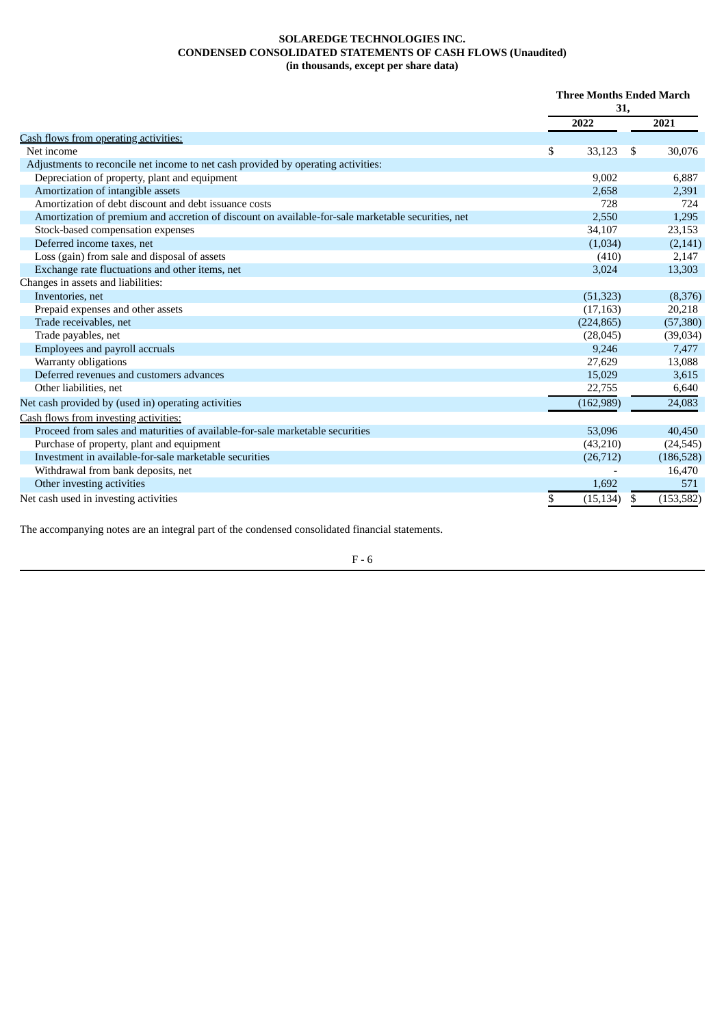## **SOLAREDGE TECHNOLOGIES INC. CONDENSED CONSOLIDATED STATEMENTS OF CASH FLOWS (Unaudited) (in thousands, except per share data)**

<span id="page-8-0"></span>

|                                                                                                    | <b>Three Months Ended March</b><br>31, |            |    |            |
|----------------------------------------------------------------------------------------------------|----------------------------------------|------------|----|------------|
|                                                                                                    |                                        | 2022       |    | 2021       |
| Cash flows from operating activities:                                                              |                                        |            |    |            |
| Net income                                                                                         | \$                                     | 33,123     | \$ | 30,076     |
| Adjustments to reconcile net income to net cash provided by operating activities:                  |                                        |            |    |            |
| Depreciation of property, plant and equipment                                                      |                                        | 9.002      |    | 6,887      |
| Amortization of intangible assets                                                                  |                                        | 2,658      |    | 2,391      |
| Amortization of debt discount and debt issuance costs                                              |                                        | 728        |    | 724        |
| Amortization of premium and accretion of discount on available-for-sale marketable securities, net |                                        | 2,550      |    | 1,295      |
| Stock-based compensation expenses                                                                  |                                        | 34,107     |    | 23,153     |
| Deferred income taxes, net                                                                         |                                        | (1,034)    |    | (2, 141)   |
| Loss (gain) from sale and disposal of assets                                                       |                                        | (410)      |    | 2,147      |
| Exchange rate fluctuations and other items, net                                                    |                                        | 3,024      |    | 13,303     |
| Changes in assets and liabilities:                                                                 |                                        |            |    |            |
| Inventories, net                                                                                   |                                        | (51, 323)  |    | (8,376)    |
| Prepaid expenses and other assets                                                                  |                                        | (17, 163)  |    | 20,218     |
| Trade receivables, net                                                                             |                                        | (224, 865) |    | (57, 380)  |
| Trade payables, net                                                                                |                                        | (28, 045)  |    | (39,034)   |
| Employees and payroll accruals                                                                     |                                        | 9,246      |    | 7,477      |
| Warranty obligations                                                                               |                                        | 27,629     |    | 13,088     |
| Deferred revenues and customers advances                                                           |                                        | 15,029     |    | 3,615      |
| Other liabilities, net                                                                             |                                        | 22,755     |    | 6,640      |
| Net cash provided by (used in) operating activities                                                |                                        | (162, 989) |    | 24,083     |
| Cash flows from investing activities:                                                              |                                        |            |    |            |
| Proceed from sales and maturities of available-for-sale marketable securities                      |                                        | 53,096     |    | 40,450     |
| Purchase of property, plant and equipment                                                          |                                        | (43,210)   |    | (24, 545)  |
| Investment in available-for-sale marketable securities                                             |                                        | (26,712)   |    | (186, 528) |
| Withdrawal from bank deposits, net                                                                 |                                        |            |    | 16,470     |
| Other investing activities                                                                         |                                        | 1,692      |    | 571        |
| Net cash used in investing activities                                                              | \$                                     | (15, 134)  | \$ | (153, 582) |

The accompanying notes are an integral part of the condensed consolidated financial statements.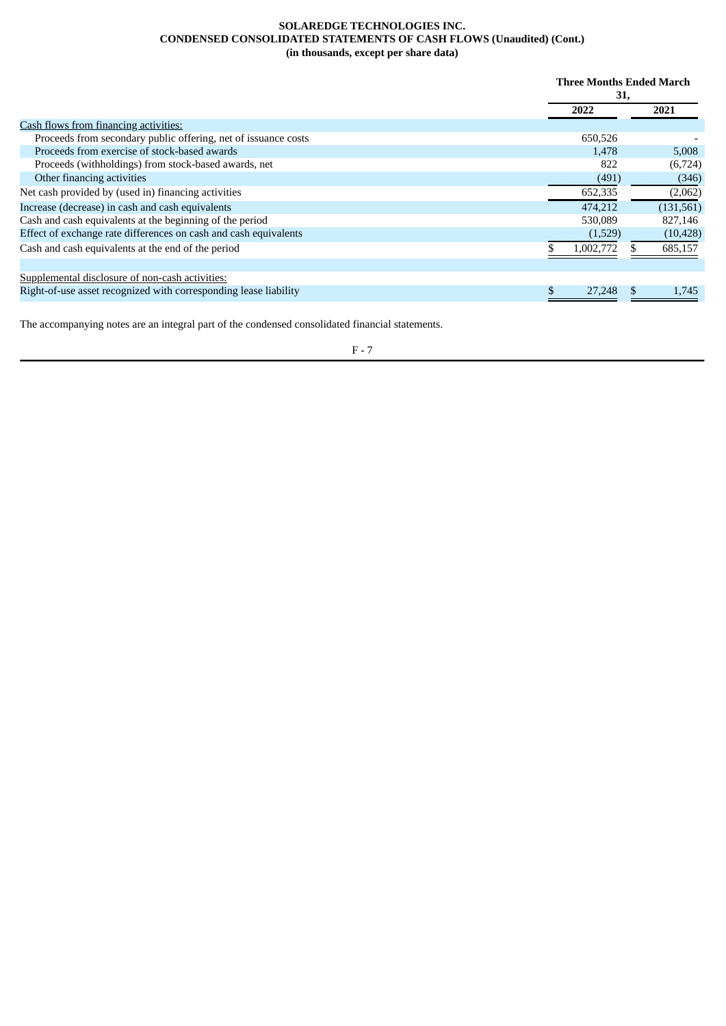## **SOLAREDGE TECHNOLOGIES INC. CONDENSED CONSOLIDATED STATEMENTS OF CASH FLOWS (Unaudited) (Cont.) (in thousands, except per share data)**

|                                                                  | <b>Three Months Ended March</b><br>31, |  |            |  |
|------------------------------------------------------------------|----------------------------------------|--|------------|--|
|                                                                  | 2022                                   |  | 2021       |  |
| Cash flows from financing activities:                            |                                        |  |            |  |
| Proceeds from secondary public offering, net of issuance costs   | 650,526                                |  |            |  |
| Proceeds from exercise of stock-based awards                     | 1,478                                  |  | 5,008      |  |
| Proceeds (withholdings) from stock-based awards, net             | 822                                    |  | (6, 724)   |  |
| Other financing activities                                       | (491)                                  |  | (346)      |  |
| Net cash provided by (used in) financing activities              | 652,335                                |  | (2,062)    |  |
| Increase (decrease) in cash and cash equivalents                 | 474,212                                |  | (131, 561) |  |
| Cash and cash equivalents at the beginning of the period         | 530,089                                |  | 827,146    |  |
| Effect of exchange rate differences on cash and cash equivalents | (1,529)                                |  | (10, 428)  |  |
| Cash and cash equivalents at the end of the period               | 1,002,772                              |  | 685,157    |  |
|                                                                  |                                        |  |            |  |
| Supplemental disclosure of non-cash activities:                  |                                        |  |            |  |
| Right-of-use asset recognized with corresponding lease liability | 27,248                                 |  | 1,745      |  |

The accompanying notes are an integral part of the condensed consolidated financial statements.

# $\rm F$  -  $\rm 7$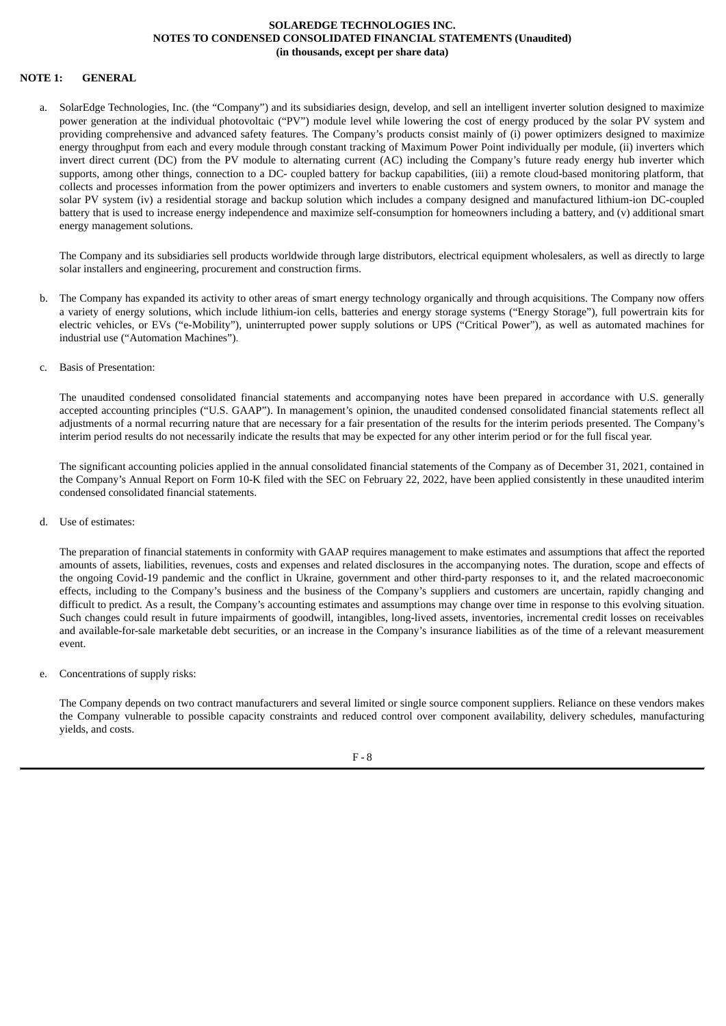#### **NOTE 1: GENERAL**

<span id="page-10-0"></span>a. SolarEdge Technologies, Inc. (the "Company") and its subsidiaries design, develop, and sell an intelligent inverter solution designed to maximize power generation at the individual photovoltaic ("PV") module level while lowering the cost of energy produced by the solar PV system and providing comprehensive and advanced safety features. The Company's products consist mainly of (i) power optimizers designed to maximize energy throughput from each and every module through constant tracking of Maximum Power Point individually per module, (ii) inverters which invert direct current (DC) from the PV module to alternating current (AC) including the Company's future ready energy hub inverter which supports, among other things, connection to a DC- coupled battery for backup capabilities, (iii) a remote cloud-based monitoring platform, that collects and processes information from the power optimizers and inverters to enable customers and system owners, to monitor and manage the solar PV system (iv) a residential storage and backup solution which includes a company designed and manufactured lithium-ion DC-coupled battery that is used to increase energy independence and maximize self-consumption for homeowners including a battery, and (v) additional smart energy management solutions.

The Company and its subsidiaries sell products worldwide through large distributors, electrical equipment wholesalers, as well as directly to large solar installers and engineering, procurement and construction firms.

- b. The Company has expanded its activity to other areas of smart energy technology organically and through acquisitions. The Company now offers a variety of energy solutions, which include lithium-ion cells, batteries and energy storage systems ("Energy Storage"), full powertrain kits for electric vehicles, or EVs ("e-Mobility"), uninterrupted power supply solutions or UPS ("Critical Power"), as well as automated machines for industrial use ("Automation Machines").
- c. Basis of Presentation:

The unaudited condensed consolidated financial statements and accompanying notes have been prepared in accordance with U.S. generally accepted accounting principles ("U.S. GAAP"). In management's opinion, the unaudited condensed consolidated financial statements reflect all adjustments of a normal recurring nature that are necessary for a fair presentation of the results for the interim periods presented. The Company's interim period results do not necessarily indicate the results that may be expected for any other interim period or for the full fiscal year.

The significant accounting policies applied in the annual consolidated financial statements of the Company as of December 31, 2021, contained in the Company's Annual Report on Form 10-K filed with the SEC on February 22, 2022, have been applied consistently in these unaudited interim condensed consolidated financial statements.

d. Use of estimates:

The preparation of financial statements in conformity with GAAP requires management to make estimates and assumptions that affect the reported amounts of assets, liabilities, revenues, costs and expenses and related disclosures in the accompanying notes. The duration, scope and effects of the ongoing Covid-19 pandemic and the conflict in Ukraine, government and other third-party responses to it, and the related macroeconomic effects, including to the Company's business and the business of the Company's suppliers and customers are uncertain, rapidly changing and difficult to predict. As a result, the Company's accounting estimates and assumptions may change over time in response to this evolving situation. Such changes could result in future impairments of goodwill, intangibles, long-lived assets, inventories, incremental credit losses on receivables and available-for-sale marketable debt securities, or an increase in the Company's insurance liabilities as of the time of a relevant measurement event.

Concentrations of supply risks:

The Company depends on two contract manufacturers and several limited or single source component suppliers. Reliance on these vendors makes the Company vulnerable to possible capacity constraints and reduced control over component availability, delivery schedules, manufacturing yields, and costs.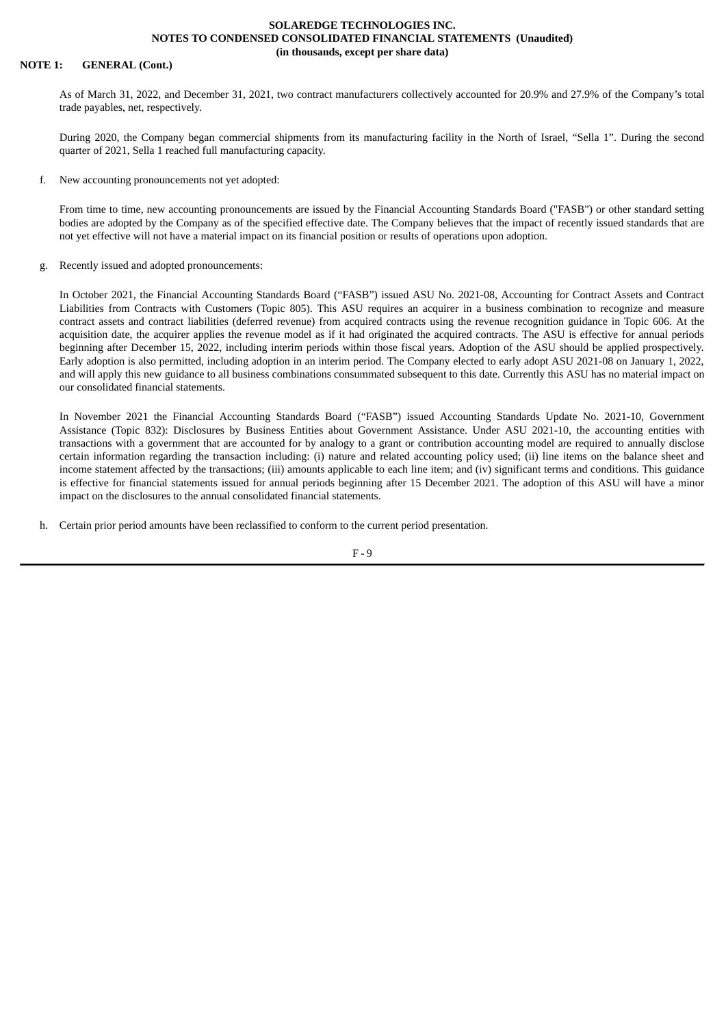## **NOTE 1: GENERAL (Cont.)**

As of March 31, 2022, and December 31, 2021, two contract manufacturers collectively accounted for 20.9% and 27.9% of the Company's total trade payables, net, respectively.

During 2020, the Company began commercial shipments from its manufacturing facility in the North of Israel, "Sella 1". During the second quarter of 2021, Sella 1 reached full manufacturing capacity.

f. New accounting pronouncements not yet adopted:

From time to time, new accounting pronouncements are issued by the Financial Accounting Standards Board ("FASB") or other standard setting bodies are adopted by the Company as of the specified effective date. The Company believes that the impact of recently issued standards that are not yet effective will not have a material impact on its financial position or results of operations upon adoption.

g. Recently issued and adopted pronouncements:

In October 2021, the Financial Accounting Standards Board ("FASB") issued ASU No. 2021-08, Accounting for Contract Assets and Contract Liabilities from Contracts with Customers (Topic 805). This ASU requires an acquirer in a business combination to recognize and measure contract assets and contract liabilities (deferred revenue) from acquired contracts using the revenue recognition guidance in Topic 606. At the acquisition date, the acquirer applies the revenue model as if it had originated the acquired contracts. The ASU is effective for annual periods beginning after December 15, 2022, including interim periods within those fiscal years. Adoption of the ASU should be applied prospectively. Early adoption is also permitted, including adoption in an interim period. The Company elected to early adopt ASU 2021-08 on January 1, 2022, and will apply this new guidance to all business combinations consummated subsequent to this date. Currently this ASU has no material impact on our consolidated financial statements.

In November 2021 the Financial Accounting Standards Board ("FASB") issued Accounting Standards Update No. 2021-10, Government Assistance (Topic 832): Disclosures by Business Entities about Government Assistance. Under ASU 2021-10, the accounting entities with transactions with a government that are accounted for by analogy to a grant or contribution accounting model are required to annually disclose certain information regarding the transaction including: (i) nature and related accounting policy used; (ii) line items on the balance sheet and income statement affected by the transactions; (iii) amounts applicable to each line item; and (iv) significant terms and conditions. This guidance is effective for financial statements issued for annual periods beginning after 15 December 2021. The adoption of this ASU will have a minor impact on the disclosures to the annual consolidated financial statements.

h. Certain prior period amounts have been reclassified to conform to the current period presentation.

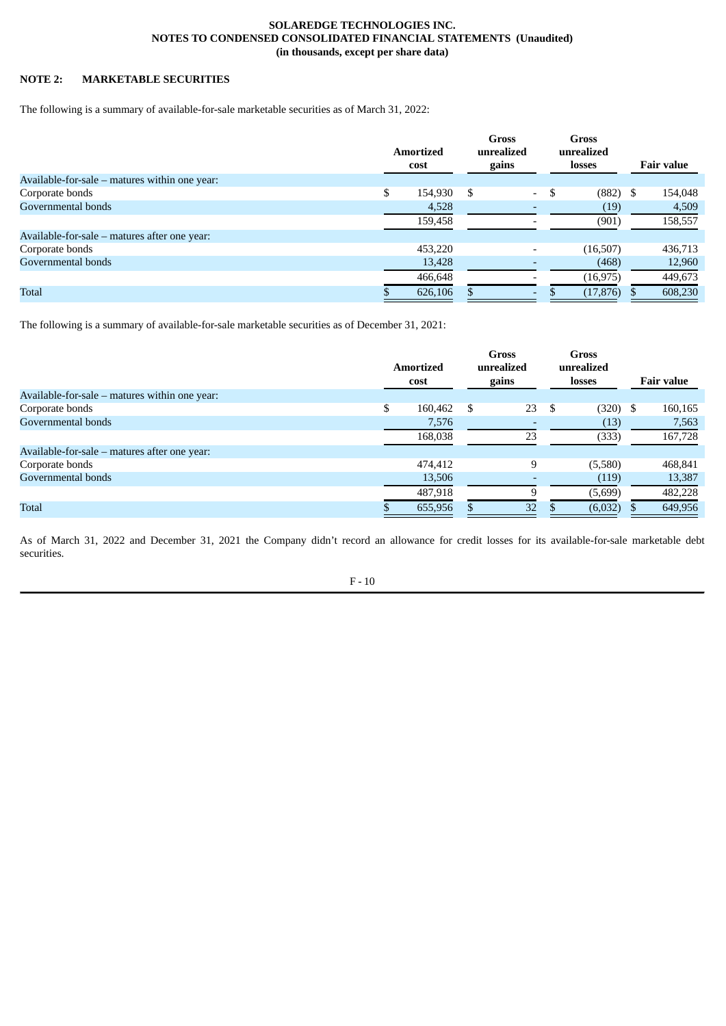# **NOTE 2: MARKETABLE SECURITIES**

The following is a summary of available-for-sale marketable securities as of March 31, 2022:

|                                               | Amortized<br>cost | Gross<br>unrealized<br>gains |                          |   | Gross<br>unrealized<br>losses | <b>Fair value</b> |
|-----------------------------------------------|-------------------|------------------------------|--------------------------|---|-------------------------------|-------------------|
| Available-for-sale – matures within one year: |                   |                              |                          |   |                               |                   |
| Corporate bonds                               | \$<br>154,930     | \$                           | $\sim$                   | S | (882)                         | \$<br>154,048     |
| Governmental bonds                            | 4,528             |                              |                          |   | (19)                          | 4,509             |
|                                               | 159,458           |                              |                          |   | (901)                         | 158,557           |
| Available-for-sale - matures after one year:  |                   |                              |                          |   |                               |                   |
| Corporate bonds                               | 453,220           |                              | $\overline{\phantom{0}}$ |   | (16,507)                      | 436,713           |
| Governmental bonds                            | 13,428            |                              |                          |   | (468)                         | 12,960            |
|                                               | 466,648           |                              |                          |   | (16, 975)                     | 449,673           |
| Total                                         | 626,106           |                              | $\overline{\phantom{0}}$ |   | (17, 876)                     | 608,230           |

The following is a summary of available-for-sale marketable securities as of December 31, 2021:

| cost          |           |    |                              | Gross<br>losses |            | <b>Fair value</b> |
|---------------|-----------|----|------------------------------|-----------------|------------|-------------------|
|               |           |    |                              |                 |            |                   |
| \$<br>160,462 | S         | 23 | S                            | (320)           | - \$       | 160,165           |
| 7,576         |           |    |                              | (13)            |            | 7,563             |
| 168,038       |           | 23 |                              | (333)           |            | 167,728           |
|               |           |    |                              |                 |            |                   |
| 474,412       |           | 9  |                              | (5,580)         |            | 468,841           |
| 13,506        |           |    |                              | (119)           |            | 13,387            |
| 487,918       |           | q  |                              | (5,699)         |            | 482,228           |
| 655,956       |           | 32 |                              | (6,032)         |            | 649,956           |
|               | Amortized |    | Gross<br>unrealized<br>gains |                 | unrealized |                   |

As of March 31, 2022 and December 31, 2021 the Company didn't record an allowance for credit losses for its available-for-sale marketable debt securities.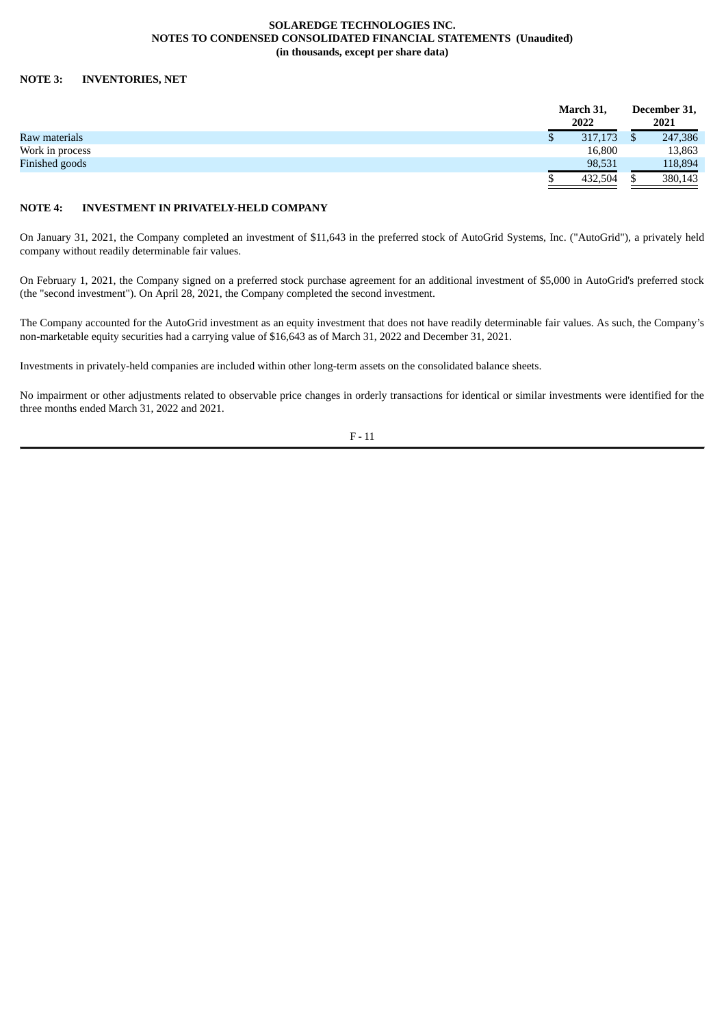## **NOTE 3: INVENTORIES, NET**

|                 | March 31,    | December 31, |
|-----------------|--------------|--------------|
|                 | 2022         | 2021         |
| Raw materials   | 317,173<br>Φ | 247,386      |
| Work in process | 16,800       | 13,863       |
| Finished goods  | 98,531       | 118,894      |
|                 | 432,504      | 380,143      |

## **NOTE 4: INVESTMENT IN PRIVATELY-HELD COMPANY**

On January 31, 2021, the Company completed an investment of \$11,643 in the preferred stock of AutoGrid Systems, Inc. ("AutoGrid"), a privately held company without readily determinable fair values.

On February 1, 2021, the Company signed on a preferred stock purchase agreement for an additional investment of \$5,000 in AutoGrid's preferred stock (the "second investment"). On April 28, 2021, the Company completed the second investment.

The Company accounted for the AutoGrid investment as an equity investment that does not have readily determinable fair values. As such, the Company's non-marketable equity securities had a carrying value of \$16,643 as of March 31, 2022 and December 31, 2021.

Investments in privately-held companies are included within other long-term assets on the consolidated balance sheets.

No impairment or other adjustments related to observable price changes in orderly transactions for identical or similar investments were identified for the three months ended March 31, 2022 and 2021.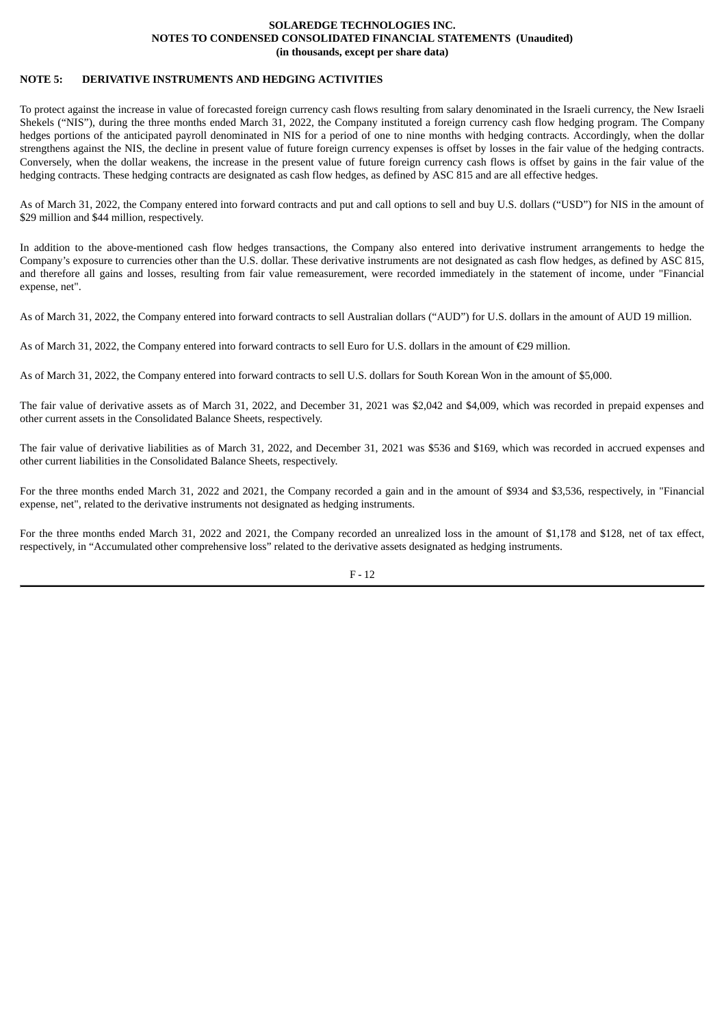## **NOTE 5: DERIVATIVE INSTRUMENTS AND HEDGING ACTIVITIES**

To protect against the increase in value of forecasted foreign currency cash flows resulting from salary denominated in the Israeli currency, the New Israeli Shekels ("NIS"), during the three months ended March 31, 2022, the Company instituted a foreign currency cash flow hedging program. The Company hedges portions of the anticipated payroll denominated in NIS for a period of one to nine months with hedging contracts. Accordingly, when the dollar strengthens against the NIS, the decline in present value of future foreign currency expenses is offset by losses in the fair value of the hedging contracts. Conversely, when the dollar weakens, the increase in the present value of future foreign currency cash flows is offset by gains in the fair value of the hedging contracts. These hedging contracts are designated as cash flow hedges, as defined by ASC 815 and are all effective hedges.

As of March 31, 2022, the Company entered into forward contracts and put and call options to sell and buy U.S. dollars ("USD") for NIS in the amount of \$29 million and \$44 million, respectively.

In addition to the above-mentioned cash flow hedges transactions, the Company also entered into derivative instrument arrangements to hedge the Company's exposure to currencies other than the U.S. dollar. These derivative instruments are not designated as cash flow hedges, as defined by ASC 815, and therefore all gains and losses, resulting from fair value remeasurement, were recorded immediately in the statement of income, under "Financial expense, net".

As of March 31, 2022, the Company entered into forward contracts to sell Australian dollars ("AUD") for U.S. dollars in the amount of AUD 19 million.

As of March 31, 2022, the Company entered into forward contracts to sell Euro for U.S. dollars in the amount of €29 million.

As of March 31, 2022, the Company entered into forward contracts to sell U.S. dollars for South Korean Won in the amount of \$5,000.

The fair value of derivative assets as of March 31, 2022, and December 31, 2021 was \$2,042 and \$4,009, which was recorded in prepaid expenses and other current assets in the Consolidated Balance Sheets, respectively.

The fair value of derivative liabilities as of March 31, 2022, and December 31, 2021 was \$536 and \$169, which was recorded in accrued expenses and other current liabilities in the Consolidated Balance Sheets, respectively.

For the three months ended March 31, 2022 and 2021, the Company recorded a gain and in the amount of \$934 and \$3,536, respectively, in "Financial expense, net", related to the derivative instruments not designated as hedging instruments.

For the three months ended March 31, 2022 and 2021, the Company recorded an unrealized loss in the amount of \$1,178 and \$128, net of tax effect, respectively, in "Accumulated other comprehensive loss" related to the derivative assets designated as hedging instruments.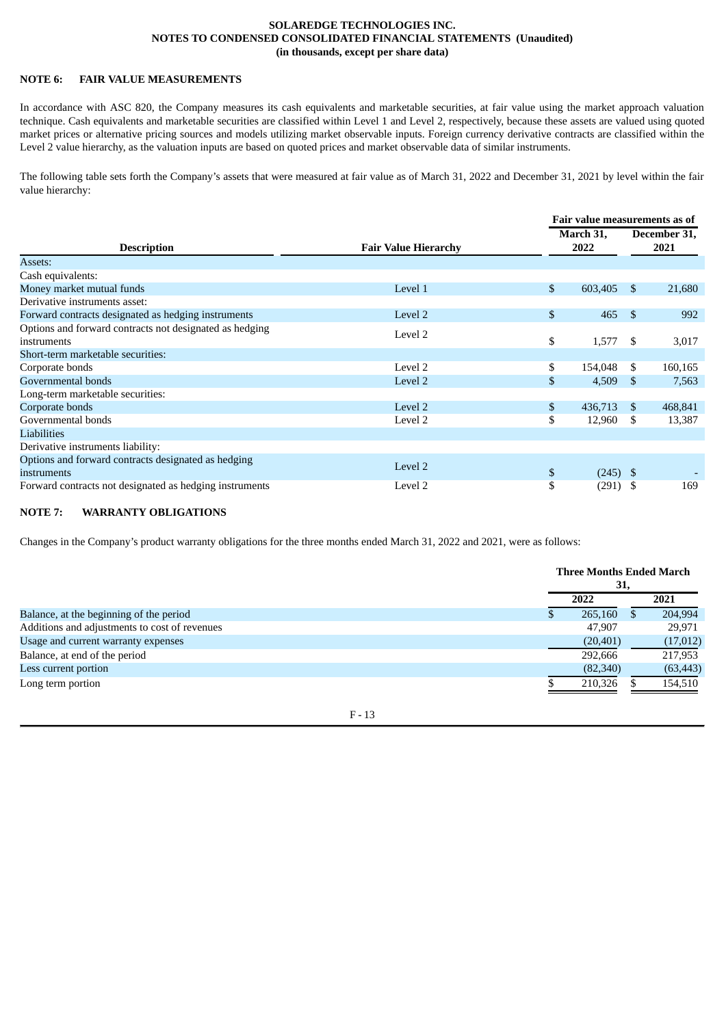## **NOTE 6: FAIR VALUE MEASUREMENTS**

In accordance with ASC 820, the Company measures its cash equivalents and marketable securities, at fair value using the market approach valuation technique. Cash equivalents and marketable securities are classified within Level 1 and Level 2, respectively, because these assets are valued using quoted market prices or alternative pricing sources and models utilizing market observable inputs. Foreign currency derivative contracts are classified within the Level 2 value hierarchy, as the valuation inputs are based on quoted prices and market observable data of similar instruments.

The following table sets forth the Company's assets that were measured at fair value as of March 31, 2022 and December 31, 2021 by level within the fair value hierarchy:

|                                                         |                             |                   | Fair value measurements as of |                      |         |
|---------------------------------------------------------|-----------------------------|-------------------|-------------------------------|----------------------|---------|
| <b>Description</b>                                      | <b>Fair Value Hierarchy</b> | March 31,<br>2022 |                               | December 31,<br>2021 |         |
| Assets:                                                 |                             |                   |                               |                      |         |
| Cash equivalents:                                       |                             |                   |                               |                      |         |
| Money market mutual funds                               | Level 1                     | \$                | 603,405                       | -S                   | 21,680  |
| Derivative instruments asset:                           |                             |                   |                               |                      |         |
| Forward contracts designated as hedging instruments     | Level 2                     | \$                | 465                           | -\$                  | 992     |
| Options and forward contracts not designated as hedging | Level 2                     |                   |                               |                      |         |
| instruments                                             |                             | \$                | 1,577                         | -S                   | 3,017   |
| Short-term marketable securities:                       |                             |                   |                               |                      |         |
| Corporate bonds                                         | Level 2                     | \$                | 154,048                       | S.                   | 160,165 |
| Governmental bonds                                      | Level 2                     | \$                | 4,509                         | <sup>\$</sup>        | 7,563   |
| Long-term marketable securities:                        |                             |                   |                               |                      |         |
| Corporate bonds                                         | Level 2                     | \$                | 436,713                       | S.                   | 468,841 |
| Governmental bonds                                      | Level 2                     | \$                | 12,960                        | \$                   | 13,387  |
| Liabilities                                             |                             |                   |                               |                      |         |
| Derivative instruments liability:                       |                             |                   |                               |                      |         |
| Options and forward contracts designated as hedging     | Level 2                     |                   |                               |                      |         |
| <i>instruments</i>                                      |                             | \$                | $(245)$ \$                    |                      |         |
| Forward contracts not designated as hedging instruments | Level 2                     | \$                | (291)                         | S.                   | 169     |

#### **NOTE 7: WARRANTY OBLIGATIONS**

Changes in the Company's product warranty obligations for the three months ended March 31, 2022 and 2021, were as follows:

|                                               | <b>Three Months Ended March</b><br>31, |              |
|-----------------------------------------------|----------------------------------------|--------------|
|                                               | 2022                                   | 2021         |
| Balance, at the beginning of the period       | 265,160                                | 204,994<br>ъ |
| Additions and adjustments to cost of revenues | 47,907                                 | 29,971       |
| Usage and current warranty expenses           | (20, 401)                              | (17, 012)    |
| Balance, at end of the period                 | 292,666                                | 217,953      |
| Less current portion                          | (82, 340)                              | (63, 443)    |
| Long term portion                             | 210,326                                | 154,510      |
|                                               |                                        |              |

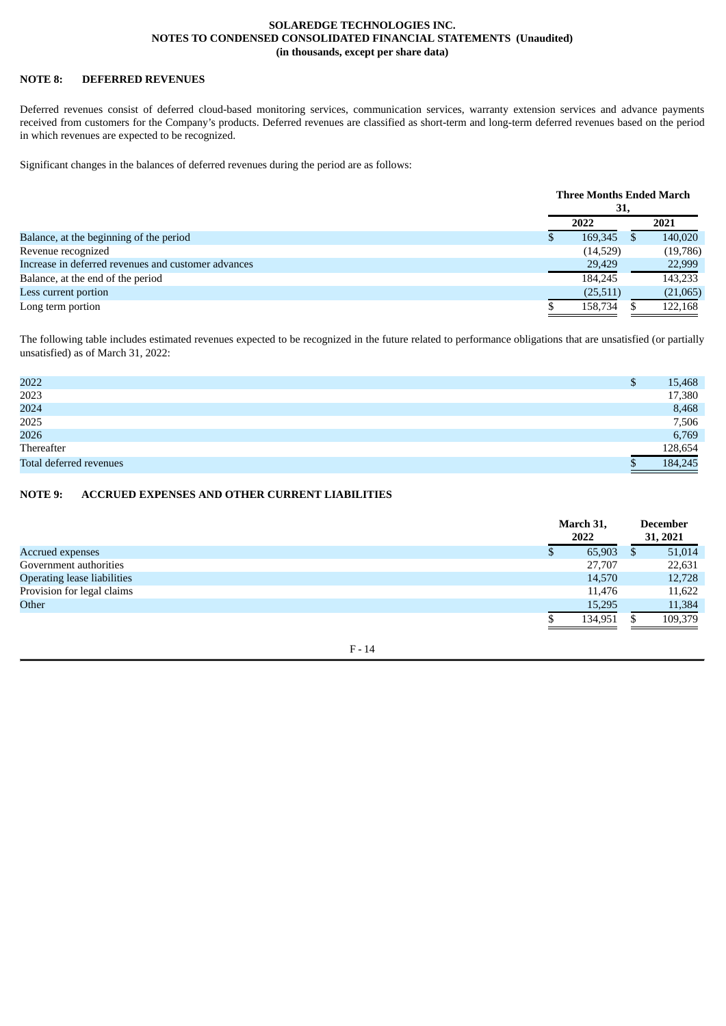## **NOTE 8: DEFERRED REVENUES**

Deferred revenues consist of deferred cloud-based monitoring services, communication services, warranty extension services and advance payments received from customers for the Company's products. Deferred revenues are classified as short-term and long-term deferred revenues based on the period in which revenues are expected to be recognized.

Significant changes in the balances of deferred revenues during the period are as follows:

|                                                     | <b>Three Months Ended March</b><br>31, |          |
|-----------------------------------------------------|----------------------------------------|----------|
|                                                     | 2022                                   | 2021     |
| Balance, at the beginning of the period             | 169,345                                | 140,020  |
| Revenue recognized                                  | (14, 529)                              | (19,786) |
| Increase in deferred revenues and customer advances | 29,429                                 | 22,999   |
| Balance, at the end of the period                   | 184.245                                | 143,233  |
| Less current portion                                | (25,511)                               | (21,065) |
| Long term portion                                   | 158,734                                | 122.168  |

The following table includes estimated revenues expected to be recognized in the future related to performance obligations that are unsatisfied (or partially unsatisfied) as of March 31, 2022:

| 2022                    | \$<br>15,468 |
|-------------------------|--------------|
| 2023                    | 17,380       |
| 2024                    | 8,468        |
| 2025                    | 7,506        |
| 2026                    | 6,769        |
| Thereafter              | 128,654      |
| Total deferred revenues | 184,245      |

## **NOTE 9: ACCRUED EXPENSES AND OTHER CURRENT LIABILITIES**

|                                    | March 31,<br>2022 | <b>December</b><br>31, 2021 |         |
|------------------------------------|-------------------|-----------------------------|---------|
| Accrued expenses                   | 65,903            | Ъ                           | 51,014  |
| Government authorities             | 27,707            |                             | 22,631  |
| <b>Operating lease liabilities</b> | 14,570            |                             | 12,728  |
| Provision for legal claims         | 11.476            |                             | 11,622  |
| Other                              | 15,295            |                             | 11,384  |
|                                    | 134,951           |                             | 109,379 |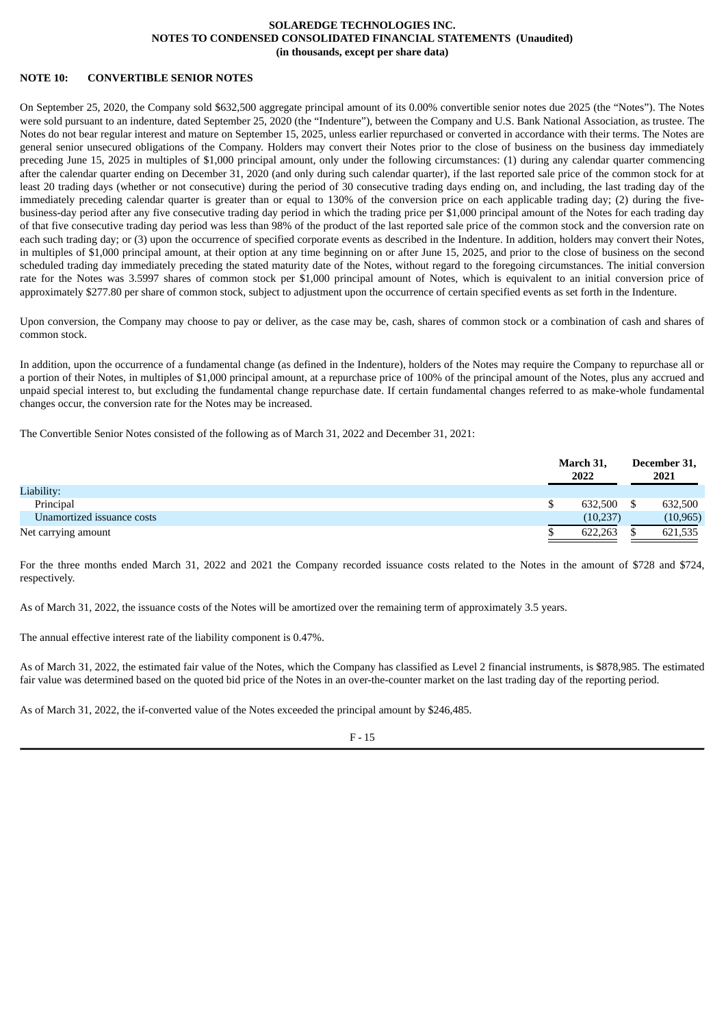#### **NOTE 10: CONVERTIBLE SENIOR NOTES**

On September 25, 2020, the Company sold \$632,500 aggregate principal amount of its 0.00% convertible senior notes due 2025 (the "Notes"). The Notes were sold pursuant to an indenture, dated September 25, 2020 (the "Indenture"), between the Company and U.S. Bank National Association, as trustee. The Notes do not bear regular interest and mature on September 15, 2025, unless earlier repurchased or converted in accordance with their terms. The Notes are general senior unsecured obligations of the Company. Holders may convert their Notes prior to the close of business on the business day immediately preceding June 15, 2025 in multiples of \$1,000 principal amount, only under the following circumstances: (1) during any calendar quarter commencing after the calendar quarter ending on December 31, 2020 (and only during such calendar quarter), if the last reported sale price of the common stock for at least 20 trading days (whether or not consecutive) during the period of 30 consecutive trading days ending on, and including, the last trading day of the immediately preceding calendar quarter is greater than or equal to 130% of the conversion price on each applicable trading day; (2) during the fivebusiness-day period after any five consecutive trading day period in which the trading price per \$1,000 principal amount of the Notes for each trading day of that five consecutive trading day period was less than 98% of the product of the last reported sale price of the common stock and the conversion rate on each such trading day; or (3) upon the occurrence of specified corporate events as described in the Indenture. In addition, holders may convert their Notes, in multiples of \$1,000 principal amount, at their option at any time beginning on or after June 15, 2025, and prior to the close of business on the second scheduled trading day immediately preceding the stated maturity date of the Notes, without regard to the foregoing circumstances. The initial conversion rate for the Notes was 3.5997 shares of common stock per \$1,000 principal amount of Notes, which is equivalent to an initial conversion price of approximately \$277.80 per share of common stock, subject to adjustment upon the occurrence of certain specified events as set forth in the Indenture.

Upon conversion, the Company may choose to pay or deliver, as the case may be, cash, shares of common stock or a combination of cash and shares of common stock.

In addition, upon the occurrence of a fundamental change (as defined in the Indenture), holders of the Notes may require the Company to repurchase all or a portion of their Notes, in multiples of \$1,000 principal amount, at a repurchase price of 100% of the principal amount of the Notes, plus any accrued and unpaid special interest to, but excluding the fundamental change repurchase date. If certain fundamental changes referred to as make-whole fundamental changes occur, the conversion rate for the Notes may be increased.

The Convertible Senior Notes consisted of the following as of March 31, 2022 and December 31, 2021:

|                            | March 31,<br>2022 |           | December 31,<br>2021 |
|----------------------------|-------------------|-----------|----------------------|
| Liability:                 |                   |           |                      |
| Principal                  |                   | 632,500   | 632,500              |
| Unamortized issuance costs |                   | (10, 237) | (10, 965)            |
| Net carrying amount        |                   | 622,263   | 621,535              |

For the three months ended March 31, 2022 and 2021 the Company recorded issuance costs related to the Notes in the amount of \$728 and \$724, respectively.

As of March 31, 2022, the issuance costs of the Notes will be amortized over the remaining term of approximately 3.5 years.

The annual effective interest rate of the liability component is 0.47%.

As of March 31, 2022, the estimated fair value of the Notes, which the Company has classified as Level 2 financial instruments, is \$878,985. The estimated fair value was determined based on the quoted bid price of the Notes in an over-the-counter market on the last trading day of the reporting period.

As of March 31, 2022, the if-converted value of the Notes exceeded the principal amount by \$246,485.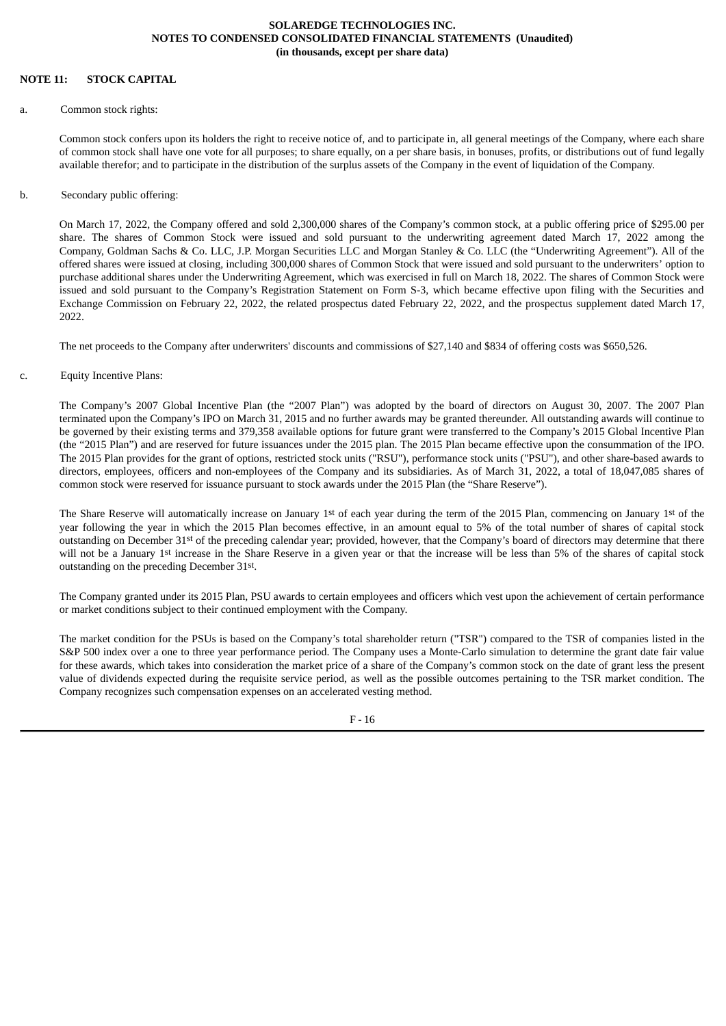#### **NOTE 11: STOCK CAPITAL**

a. Common stock rights:

Common stock confers upon its holders the right to receive notice of, and to participate in, all general meetings of the Company, where each share of common stock shall have one vote for all purposes; to share equally, on a per share basis, in bonuses, profits, or distributions out of fund legally available therefor; and to participate in the distribution of the surplus assets of the Company in the event of liquidation of the Company.

b. Secondary public offering:

On March 17, 2022, the Company offered and sold 2,300,000 shares of the Company's common stock, at a public offering price of \$295.00 per share. The shares of Common Stock were issued and sold pursuant to the underwriting agreement dated March 17, 2022 among the Company, Goldman Sachs & Co. LLC, J.P. Morgan Securities LLC and Morgan Stanley & Co. LLC (the "Underwriting Agreement"). All of the offered shares were issued at closing, including 300,000 shares of Common Stock that were issued and sold pursuant to the underwriters' option to purchase additional shares under the Underwriting Agreement, which was exercised in full on March 18, 2022. The shares of Common Stock were issued and sold pursuant to the Company's Registration Statement on Form S-3, which became effective upon filing with the Securities and Exchange Commission on February 22, 2022, the related prospectus dated February 22, 2022, and the prospectus supplement dated March 17, 2022.

The net proceeds to the Company after underwriters' discounts and commissions of \$27,140 and \$834 of offering costs was \$650,526.

c. Equity Incentive Plans:

The Company's 2007 Global Incentive Plan (the "2007 Plan") was adopted by the board of directors on August 30, 2007. The 2007 Plan terminated upon the Company's IPO on March 31, 2015 and no further awards may be granted thereunder. All outstanding awards will continue to be governed by their existing terms and 379,358 available options for future grant were transferred to the Company's 2015 Global Incentive Plan (the "2015 Plan") and are reserved for future issuances under the 2015 plan. The 2015 Plan became effective upon the consummation of the IPO. The 2015 Plan provides for the grant of options, restricted stock units ("RSU"), performance stock units ("PSU"), and other share-based awards to directors, employees, officers and non-employees of the Company and its subsidiaries. As of March 31, 2022, a total of 18,047,085 shares of common stock were reserved for issuance pursuant to stock awards under the 2015 Plan (the "Share Reserve").

The Share Reserve will automatically increase on January 1<sup>st</sup> of each year during the term of the 2015 Plan, commencing on January 1<sup>st</sup> of the year following the year in which the 2015 Plan becomes effective, in an amount equal to 5% of the total number of shares of capital stock outstanding on December 31st of the preceding calendar year; provided, however, that the Company's board of directors may determine that there will not be a January 1<sup>st</sup> increase in the Share Reserve in a given year or that the increase will be less than 5% of the shares of capital stock outstanding on the preceding December 31st.

The Company granted under its 2015 Plan, PSU awards to certain employees and officers which vest upon the achievement of certain performance or market conditions subject to their continued employment with the Company.

The market condition for the PSUs is based on the Company's total shareholder return ("TSR") compared to the TSR of companies listed in the S&P 500 index over a one to three year performance period. The Company uses a Monte-Carlo simulation to determine the grant date fair value for these awards, which takes into consideration the market price of a share of the Company's common stock on the date of grant less the present value of dividends expected during the requisite service period, as well as the possible outcomes pertaining to the TSR market condition. The Company recognizes such compensation expenses on an accelerated vesting method.

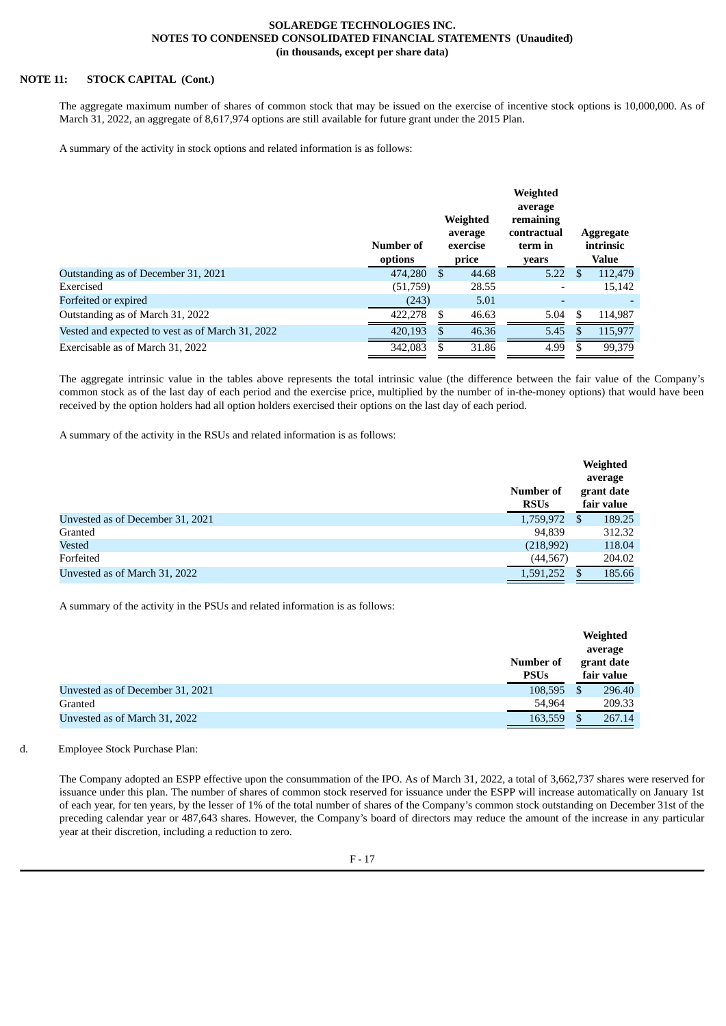## **NOTE 11: STOCK CAPITAL (Cont.)**

The aggregate maximum number of shares of common stock that may be issued on the exercise of incentive stock options is 10,000,000. As of March 31, 2022, an aggregate of 8,617,974 options are still available for future grant under the 2015 Plan.

A summary of the activity in stock options and related information is as follows:

|                                                  | Number of<br>options |     | Weighted<br>average<br>Weighted<br>remaining<br>contractual<br>average<br>term in<br>exercise<br>price<br>vears |      | Aggregate<br>intrinsic<br>Value |         |  |
|--------------------------------------------------|----------------------|-----|-----------------------------------------------------------------------------------------------------------------|------|---------------------------------|---------|--|
| Outstanding as of December 31, 2021              | 474,280              | \$. | 44.68                                                                                                           | 5.22 | £.                              | 112,479 |  |
| Exercised                                        | (51,759)             |     | 28.55                                                                                                           |      |                                 | 15,142  |  |
| Forfeited or expired                             | (243)                |     | 5.01                                                                                                            |      |                                 |         |  |
| Outstanding as of March 31, 2022                 | 422,278              | S   | 46.63                                                                                                           | 5.04 | \$.                             | 114,987 |  |
| Vested and expected to vest as of March 31, 2022 | 420,193              |     | 46.36                                                                                                           | 5.45 |                                 | 115,977 |  |
| Exercisable as of March 31, 2022                 | 342,083              | S   | 31.86                                                                                                           | 4.99 |                                 | 99.379  |  |

The aggregate intrinsic value in the tables above represents the total intrinsic value (the difference between the fair value of the Company's common stock as of the last day of each period and the exercise price, multiplied by the number of in-the-money options) that would have been received by the option holders had all option holders exercised their options on the last day of each period.

A summary of the activity in the RSUs and related information is as follows:

|                                  | Number of<br><b>RSUs</b> |  | Weighted<br>average<br>grant date<br>fair value |
|----------------------------------|--------------------------|--|-------------------------------------------------|
| Unvested as of December 31, 2021 | 1,759,972                |  | 189.25                                          |
| Granted                          | 94.839                   |  | 312.32                                          |
| <b>Vested</b>                    | (218,992)                |  | 118.04                                          |
| Forfeited                        | (44, 567)                |  | 204.02                                          |
| Unvested as of March 31, 2022    | 1,591,252                |  | 185.66                                          |

A summary of the activity in the PSUs and related information is as follows:

|                                  | Number of<br><b>PSUs</b> | Weighted<br>average<br>grant date<br>fair value |
|----------------------------------|--------------------------|-------------------------------------------------|
| Unvested as of December 31, 2021 | 108,595                  | 296.40                                          |
| Granted                          | 54.964                   | 209.33                                          |
| Unvested as of March 31, 2022    | 163,559                  | 267.14                                          |

#### d. Employee Stock Purchase Plan:

The Company adopted an ESPP effective upon the consummation of the IPO. As of March 31, 2022, a total of 3,662,737 shares were reserved for issuance under this plan. The number of shares of common stock reserved for issuance under the ESPP will increase automatically on January 1st of each year, for ten years, by the lesser of 1% of the total number of shares of the Company's common stock outstanding on December 31st of the preceding calendar year or 487,643 shares. However, the Company's board of directors may reduce the amount of the increase in any particular year at their discretion, including a reduction to zero.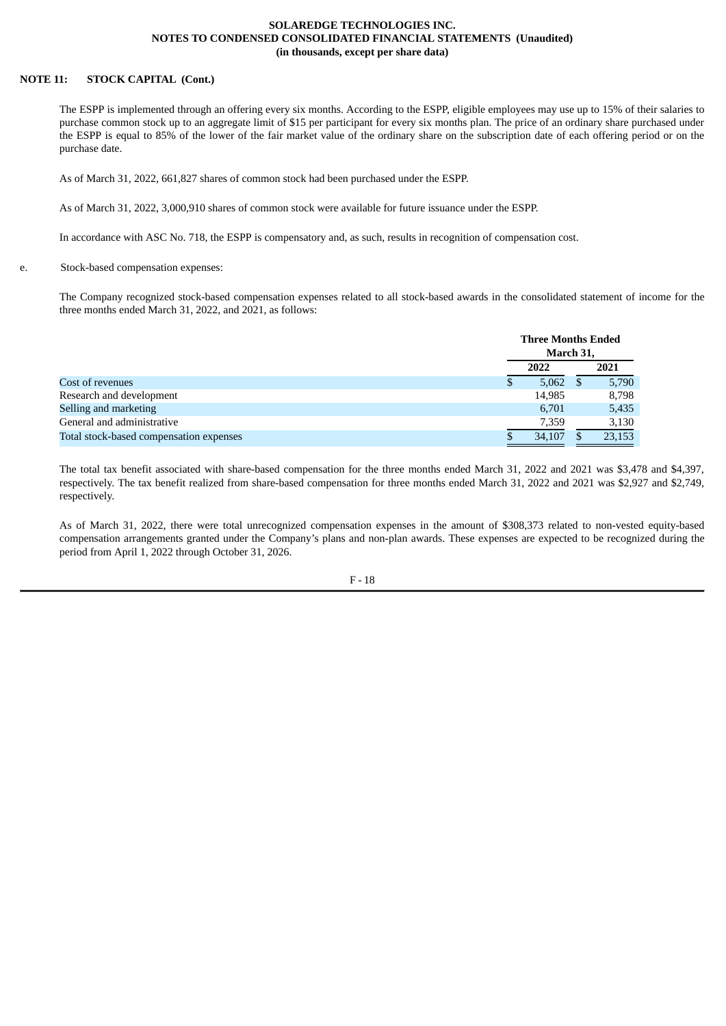# **NOTE 11: STOCK CAPITAL (Cont.)**

The ESPP is implemented through an offering every six months. According to the ESPP, eligible employees may use up to 15% of their salaries to purchase common stock up to an aggregate limit of \$15 per participant for every six months plan. The price of an ordinary share purchased under the ESPP is equal to 85% of the lower of the fair market value of the ordinary share on the subscription date of each offering period or on the purchase date.

As of March 31, 2022, 661,827 shares of common stock had been purchased under the ESPP.

As of March 31, 2022, 3,000,910 shares of common stock were available for future issuance under the ESPP.

In accordance with ASC No. 718, the ESPP is compensatory and, as such, results in recognition of compensation cost.

#### e. Stock-based compensation expenses:

The Company recognized stock-based compensation expenses related to all stock-based awards in the consolidated statement of income for the three months ended March 31, 2022, and 2021, as follows:

|                                         | <b>Three Months Ended</b> | March 31, |        |
|-----------------------------------------|---------------------------|-----------|--------|
|                                         | 2022                      |           | 2021   |
| Cost of revenues                        | 5,062<br>S                |           | 5,790  |
| Research and development                | 14.985                    |           | 8,798  |
| Selling and marketing                   | 6.701                     |           | 5,435  |
| General and administrative              | 7.359                     |           | 3,130  |
| Total stock-based compensation expenses | 34,107                    |           | 23,153 |

The total tax benefit associated with share-based compensation for the three months ended March 31, 2022 and 2021 was \$3,478 and \$4,397, respectively. The tax benefit realized from share-based compensation for three months ended March 31, 2022 and 2021 was \$2,927 and \$2,749, respectively.

As of March 31, 2022, there were total unrecognized compensation expenses in the amount of \$308,373 related to non-vested equity-based compensation arrangements granted under the Company's plans and non-plan awards. These expenses are expected to be recognized during the period from April 1, 2022 through October 31, 2026.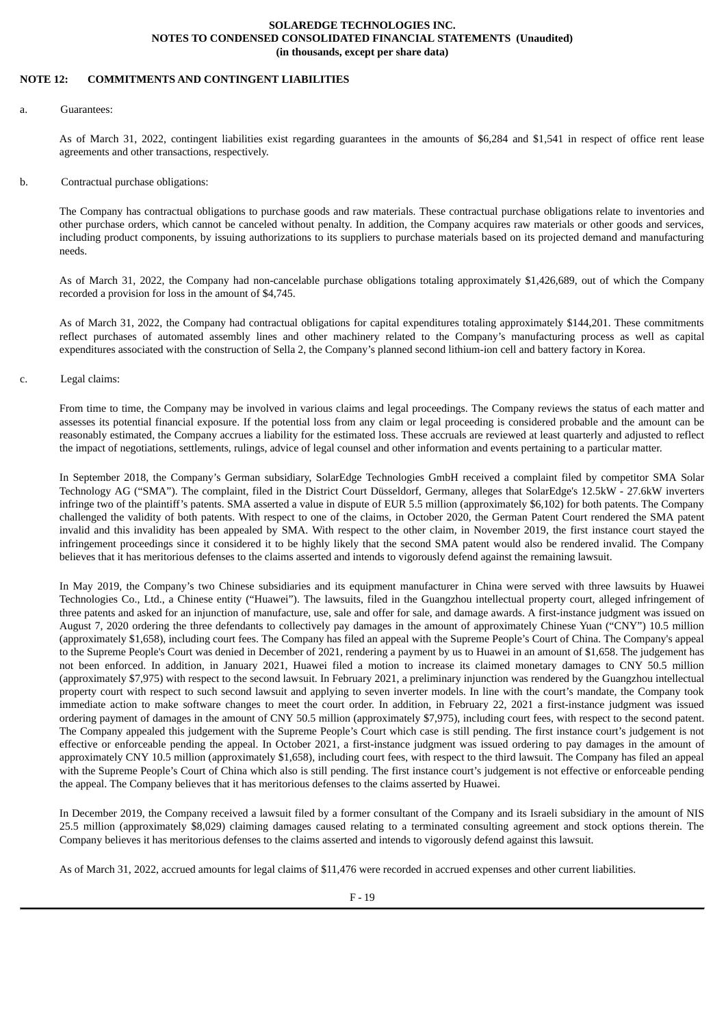## **NOTE 12: COMMITMENTS AND CONTINGENT LIABILITIES**

#### a. Guarantees:

As of March 31, 2022, contingent liabilities exist regarding guarantees in the amounts of \$6,284 and \$1,541 in respect of office rent lease agreements and other transactions, respectively.

#### b. Contractual purchase obligations:

The Company has contractual obligations to purchase goods and raw materials. These contractual purchase obligations relate to inventories and other purchase orders, which cannot be canceled without penalty. In addition, the Company acquires raw materials or other goods and services, including product components, by issuing authorizations to its suppliers to purchase materials based on its projected demand and manufacturing needs.

As of March 31, 2022, the Company had non-cancelable purchase obligations totaling approximately \$1,426,689, out of which the Company recorded a provision for loss in the amount of \$4,745.

As of March 31, 2022, the Company had contractual obligations for capital expenditures totaling approximately \$144,201. These commitments reflect purchases of automated assembly lines and other machinery related to the Company's manufacturing process as well as capital expenditures associated with the construction of Sella 2, the Company's planned second lithium-ion cell and battery factory in Korea.

#### Legal claims:

From time to time, the Company may be involved in various claims and legal proceedings. The Company reviews the status of each matter and assesses its potential financial exposure. If the potential loss from any claim or legal proceeding is considered probable and the amount can be reasonably estimated, the Company accrues a liability for the estimated loss. These accruals are reviewed at least quarterly and adjusted to reflect the impact of negotiations, settlements, rulings, advice of legal counsel and other information and events pertaining to a particular matter.

In September 2018, the Company's German subsidiary, SolarEdge Technologies GmbH received a complaint filed by competitor SMA Solar Technology AG ("SMA"). The complaint, filed in the District Court Düsseldorf, Germany, alleges that SolarEdge's 12.5kW - 27.6kW inverters infringe two of the plaintiff's patents. SMA asserted a value in dispute of EUR 5.5 million (approximately \$6,102) for both patents. The Company challenged the validity of both patents. With respect to one of the claims, in October 2020, the German Patent Court rendered the SMA patent invalid and this invalidity has been appealed by SMA. With respect to the other claim, in November 2019, the first instance court stayed the infringement proceedings since it considered it to be highly likely that the second SMA patent would also be rendered invalid. The Company believes that it has meritorious defenses to the claims asserted and intends to vigorously defend against the remaining lawsuit.

In May 2019, the Company's two Chinese subsidiaries and its equipment manufacturer in China were served with three lawsuits by Huawei Technologies Co., Ltd., a Chinese entity ("Huawei"). The lawsuits, filed in the Guangzhou intellectual property court, alleged infringement of three patents and asked for an injunction of manufacture, use, sale and offer for sale, and damage awards. A first-instance judgment was issued on August 7, 2020 ordering the three defendants to collectively pay damages in the amount of approximately Chinese Yuan ("CNY") 10.5 million (approximately \$1,658), including court fees. The Company has filed an appeal with the Supreme People's Court of China. The Company's appeal to the Supreme People's Court was denied in December of 2021, rendering a payment by us to Huawei in an amount of \$1,658. The judgement has not been enforced. In addition, in January 2021, Huawei filed a motion to increase its claimed monetary damages to CNY 50.5 million (approximately \$7,975) with respect to the second lawsuit. In February 2021, a preliminary injunction was rendered by the Guangzhou intellectual property court with respect to such second lawsuit and applying to seven inverter models. In line with the court's mandate, the Company took immediate action to make software changes to meet the court order. In addition, in February 22, 2021 a first-instance judgment was issued ordering payment of damages in the amount of CNY 50.5 million (approximately \$7,975), including court fees, with respect to the second patent. The Company appealed this judgement with the Supreme People's Court which case is still pending. The first instance court's judgement is not effective or enforceable pending the appeal. In October 2021, a first-instance judgment was issued ordering to pay damages in the amount of approximately CNY 10.5 million (approximately \$1,658), including court fees, with respect to the third lawsuit. The Company has filed an appeal with the Supreme People's Court of China which also is still pending. The first instance court's judgement is not effective or enforceable pending the appeal. The Company believes that it has meritorious defenses to the claims asserted by Huawei.

In December 2019, the Company received a lawsuit filed by a former consultant of the Company and its Israeli subsidiary in the amount of NIS 25.5 million (approximately \$8,029) claiming damages caused relating to a terminated consulting agreement and stock options therein. The Company believes it has meritorious defenses to the claims asserted and intends to vigorously defend against this lawsuit.

As of March 31, 2022, accrued amounts for legal claims of \$11,476 were recorded in accrued expenses and other current liabilities.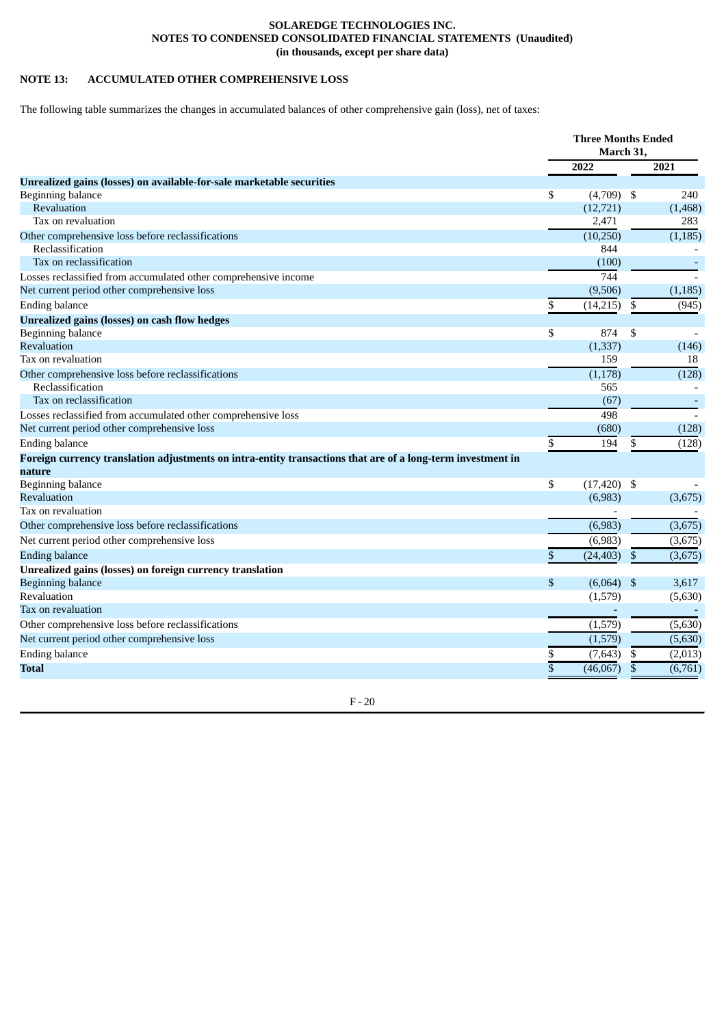# **NOTE 13: ACCUMULATED OTHER COMPREHENSIVE LOSS**

The following table summarizes the changes in accumulated balances of other comprehensive gain (loss), net of taxes:

|                                                                                                             | <b>Three Months Ended</b><br>March 31, |                |                |          |
|-------------------------------------------------------------------------------------------------------------|----------------------------------------|----------------|----------------|----------|
|                                                                                                             |                                        | 2022           |                | 2021     |
| Unrealized gains (losses) on available-for-sale marketable securities                                       |                                        |                |                |          |
| Beginning balance                                                                                           | \$                                     | $(4,709)$ \$   |                | 240      |
| Revaluation                                                                                                 |                                        | (12, 721)      |                | (1,468)  |
| Tax on revaluation                                                                                          |                                        | 2,471          |                | 283      |
| Other comprehensive loss before reclassifications                                                           |                                        | (10, 250)      |                | (1, 185) |
| Reclassification                                                                                            |                                        | 844            |                |          |
| Tax on reclassification                                                                                     |                                        | (100)          |                |          |
| Losses reclassified from accumulated other comprehensive income                                             |                                        | 744            |                |          |
| Net current period other comprehensive loss                                                                 |                                        | (9,506)        |                | (1, 185) |
| <b>Ending balance</b>                                                                                       | \$                                     | (14,215)       | \$             | (945)    |
| <b>Unrealized gains (losses) on cash flow hedges</b>                                                        |                                        |                |                |          |
| Beginning balance                                                                                           | \$                                     | 874            | \$             |          |
| Revaluation                                                                                                 |                                        | (1, 337)       |                | (146)    |
| Tax on revaluation                                                                                          |                                        | 159            |                | 18       |
| Other comprehensive loss before reclassifications                                                           |                                        | (1, 178)       |                | (128)    |
| Reclassification                                                                                            |                                        | 565            |                |          |
| Tax on reclassification                                                                                     |                                        | (67)           |                |          |
| Losses reclassified from accumulated other comprehensive loss                                               |                                        | 498            |                |          |
| Net current period other comprehensive loss                                                                 |                                        | (680)          |                | (128)    |
| <b>Ending balance</b>                                                                                       | \$                                     | 194            | \$             | (128)    |
| Foreign currency translation adjustments on intra-entity transactions that are of a long-term investment in |                                        |                |                |          |
| nature                                                                                                      |                                        |                |                |          |
| <b>Beginning balance</b>                                                                                    | \$                                     | $(17, 420)$ \$ |                |          |
| Revaluation                                                                                                 |                                        | (6,983)        |                | (3,675)  |
| Tax on revaluation                                                                                          |                                        |                |                |          |
| Other comprehensive loss before reclassifications                                                           |                                        | (6,983)        |                | (3,675)  |
| Net current period other comprehensive loss                                                                 |                                        | (6,983)        |                | (3,675)  |
| <b>Ending balance</b>                                                                                       | \$                                     | (24, 403)      | $\$$           | (3,675)  |
| Unrealized gains (losses) on foreign currency translation                                                   |                                        |                |                |          |
| <b>Beginning balance</b>                                                                                    | \$                                     | (6,064)        | $\mathfrak{s}$ | 3,617    |
| Revaluation                                                                                                 |                                        | (1,579)        |                | (5,630)  |
| Tax on revaluation                                                                                          |                                        |                |                |          |
| Other comprehensive loss before reclassifications                                                           |                                        | (1,579)        |                | (5,630)  |
| Net current period other comprehensive loss                                                                 |                                        | (1,579)        |                | (5,630)  |
| <b>Ending balance</b>                                                                                       | \$                                     | (7,643)        | \$             | (2,013)  |
| Total                                                                                                       | \$                                     | (46,067)       | $\mathbb{S}$   | (6,761)  |
|                                                                                                             |                                        |                |                |          |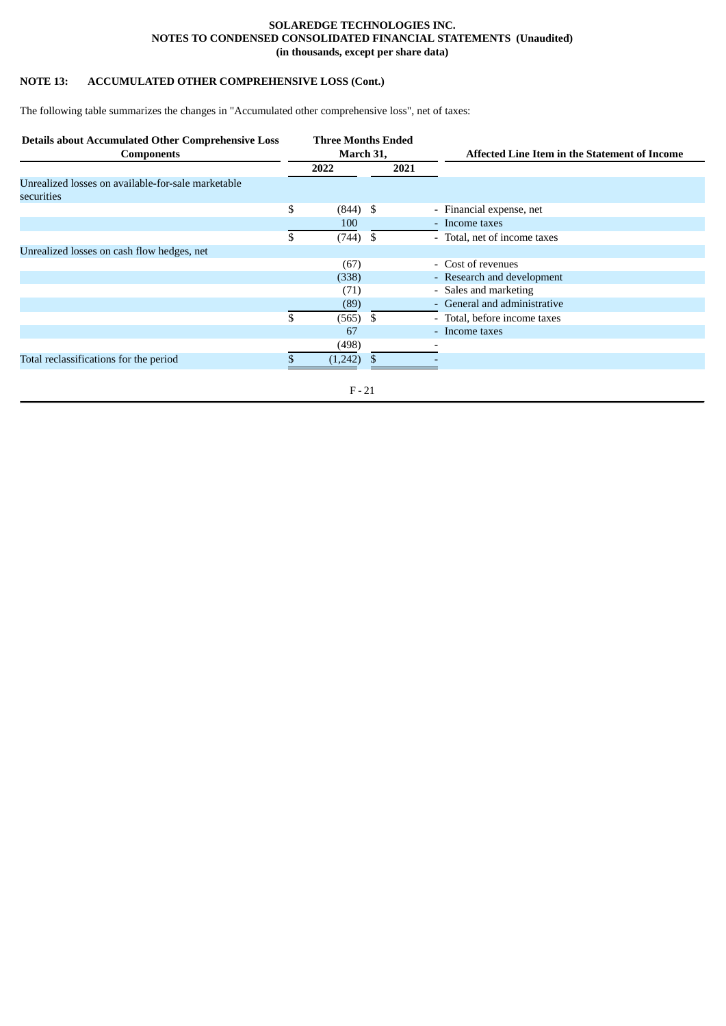# **NOTE 13: ACCUMULATED OTHER COMPREHENSIVE LOSS (Cont.)**

The following table summarizes the changes in "Accumulated other comprehensive loss", net of taxes:

| <b>Details about Accumulated Other Comprehensive Loss</b><br><b>Components</b> | <b>Three Months Ended</b><br>March 31, |      | Affected Line Item in the Statement of Income |
|--------------------------------------------------------------------------------|----------------------------------------|------|-----------------------------------------------|
|                                                                                | 2022                                   | 2021 |                                               |
| Unrealized losses on available-for-sale marketable<br>securities               |                                        |      |                                               |
|                                                                                | \$<br>$(844)$ \$                       |      | - Financial expense, net                      |
|                                                                                | 100                                    |      | - Income taxes                                |
|                                                                                | \$<br>$(744)$ \$                       |      | - Total, net of income taxes                  |
| Unrealized losses on cash flow hedges, net                                     |                                        |      |                                               |
|                                                                                | (67)                                   |      | - Cost of revenues                            |
|                                                                                | (338)                                  |      | - Research and development                    |
|                                                                                | (71)                                   |      | - Sales and marketing                         |
|                                                                                | (89)                                   |      | - General and administrative                  |
|                                                                                | \$<br>$(565)$ \$                       |      | - Total, before income taxes                  |
|                                                                                | 67                                     |      | - Income taxes                                |
|                                                                                | (498)                                  |      |                                               |
| Total reclassifications for the period                                         | (1,242)                                |      |                                               |
|                                                                                | $F - 21$                               |      |                                               |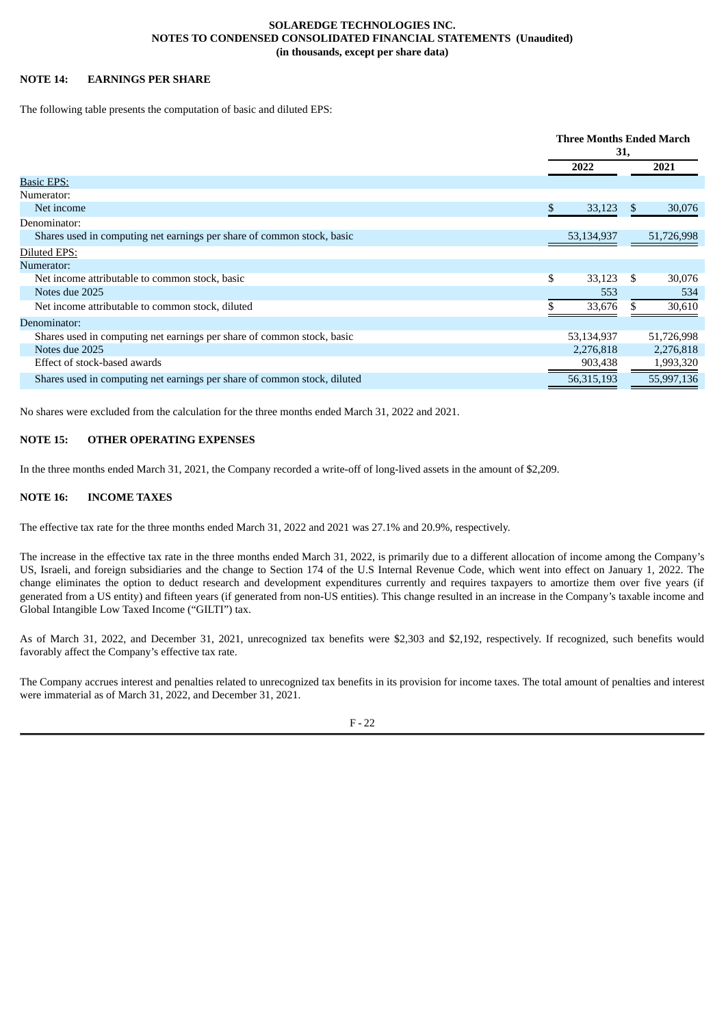# **NOTE 14: EARNINGS PER SHARE**

The following table presents the computation of basic and diluted EPS:

|                                                                          | <b>Three Months Ended March</b><br>31, |     |            |
|--------------------------------------------------------------------------|----------------------------------------|-----|------------|
|                                                                          | 2022                                   |     | 2021       |
| <b>Basic EPS:</b>                                                        |                                        |     |            |
| Numerator:                                                               |                                        |     |            |
| Net income                                                               | \$<br>33,123                           | \$. | 30,076     |
| Denominator:                                                             |                                        |     |            |
| Shares used in computing net earnings per share of common stock, basic   | 53,134,937                             |     | 51,726,998 |
| Diluted EPS:                                                             |                                        |     |            |
| Numerator:                                                               |                                        |     |            |
| Net income attributable to common stock, basic                           | \$<br>33.123                           | \$. | 30,076     |
| Notes due 2025                                                           | 553                                    |     | 534        |
| Net income attributable to common stock, diluted                         | 33,676                                 |     | 30,610     |
| Denominator:                                                             |                                        |     |            |
| Shares used in computing net earnings per share of common stock, basic   | 53,134,937                             |     | 51,726,998 |
| Notes due 2025                                                           | 2,276,818                              |     | 2,276,818  |
| Effect of stock-based awards                                             | 903,438                                |     | 1,993,320  |
| Shares used in computing net earnings per share of common stock, diluted | 56,315,193                             |     | 55,997,136 |

No shares were excluded from the calculation for the three months ended March 31, 2022 and 2021.

#### **NOTE 15: OTHER OPERATING EXPENSES**

In the three months ended March 31, 2021, the Company recorded a write-off of long-lived assets in the amount of \$2,209.

### **NOTE 16: INCOME TAXES**

The effective tax rate for the three months ended March 31, 2022 and 2021 was 27.1% and 20.9%, respectively.

The increase in the effective tax rate in the three months ended March 31, 2022, is primarily due to a different allocation of income among the Company's US, Israeli, and foreign subsidiaries and the change to Section 174 of the U.S Internal Revenue Code, which went into effect on January 1, 2022. The change eliminates the option to deduct research and development expenditures currently and requires taxpayers to amortize them over five years (if generated from a US entity) and fifteen years (if generated from non-US entities). This change resulted in an increase in the Company's taxable income and Global Intangible Low Taxed Income ("GILTI") tax.

As of March 31, 2022, and December 31, 2021, unrecognized tax benefits were \$2,303 and \$2,192, respectively. If recognized, such benefits would favorably affect the Company's effective tax rate.

The Company accrues interest and penalties related to unrecognized tax benefits in its provision for income taxes. The total amount of penalties and interest were immaterial as of March 31, 2022, and December 31, 2021.

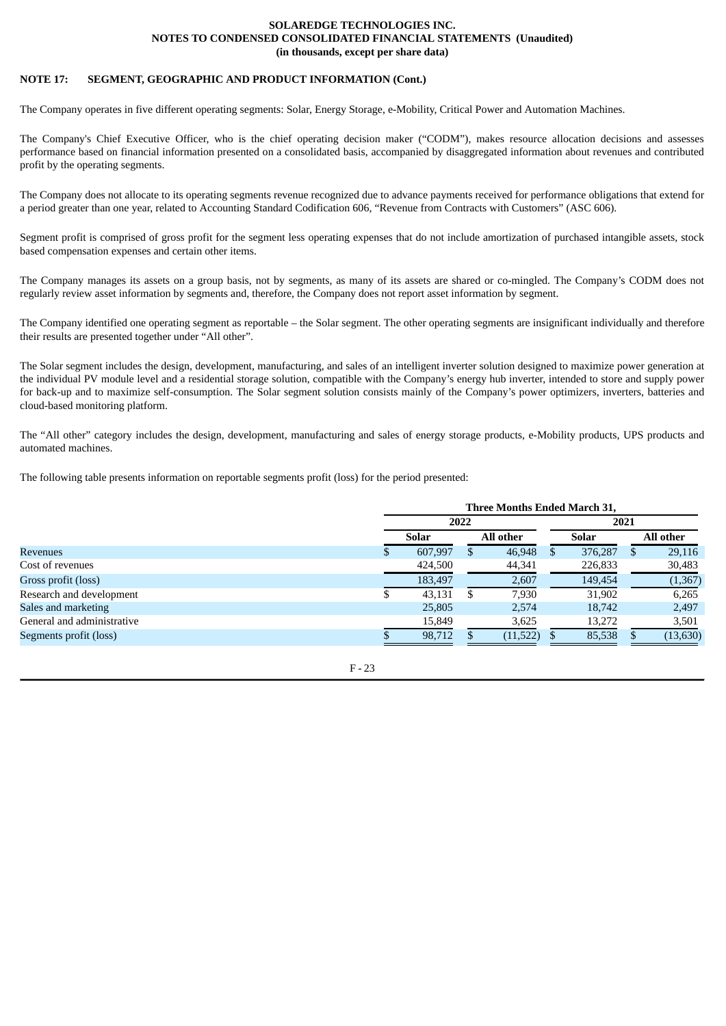## **NOTE 17: SEGMENT, GEOGRAPHIC AND PRODUCT INFORMATION (Cont.)**

The Company operates in five different operating segments: Solar, Energy Storage, e-Mobility, Critical Power and Automation Machines.

The Company's Chief Executive Officer, who is the chief operating decision maker ("CODM"), makes resource allocation decisions and assesses performance based on financial information presented on a consolidated basis, accompanied by disaggregated information about revenues and contributed profit by the operating segments.

The Company does not allocate to its operating segments revenue recognized due to advance payments received for performance obligations that extend for a period greater than one year, related to Accounting Standard Codification 606, "Revenue from Contracts with Customers" (ASC 606).

Segment profit is comprised of gross profit for the segment less operating expenses that do not include amortization of purchased intangible assets, stock based compensation expenses and certain other items.

The Company manages its assets on a group basis, not by segments, as many of its assets are shared or co-mingled. The Company's CODM does not regularly review asset information by segments and, therefore, the Company does not report asset information by segment.

The Company identified one operating segment as reportable – the Solar segment. The other operating segments are insignificant individually and therefore their results are presented together under "All other".

The Solar segment includes the design, development, manufacturing, and sales of an intelligent inverter solution designed to maximize power generation at the individual PV module level and a residential storage solution, compatible with the Company's energy hub inverter, intended to store and supply power for back-up and to maximize self-consumption. The Solar segment solution consists mainly of the Company's power optimizers, inverters, batteries and cloud‑based monitoring platform.

The "All other" category includes the design, development, manufacturing and sales of energy storage products, e-Mobility products, UPS products and automated machines.

The following table presents information on reportable segments profit (loss) for the period presented:

|                            | <b>Three Months Ended March 31,</b> |         |   |           |              |         |   |           |
|----------------------------|-------------------------------------|---------|---|-----------|--------------|---------|---|-----------|
|                            | 2022                                |         |   | 2021      |              |         |   |           |
|                            |                                     | Solar   |   | All other |              | Solar   |   | All other |
| Revenues                   | D                                   | 607,997 | ъ | 46,948    | <sup>S</sup> | 376,287 | D | 29,116    |
| Cost of revenues           |                                     | 424,500 |   | 44,341    |              | 226,833 |   | 30,483    |
| Gross profit (loss)        |                                     | 183,497 |   | 2,607     |              | 149,454 |   | (1, 367)  |
| Research and development   |                                     | 43,131  | S | 7.930     |              | 31,902  |   | 6,265     |
| Sales and marketing        |                                     | 25,805  |   | 2,574     |              | 18,742  |   | 2,497     |
| General and administrative |                                     | 15,849  |   | 3,625     |              | 13,272  |   | 3,501     |
| Segments profit (loss)     |                                     | 98,712  |   | (11,522)  |              | 85,538  |   | (13, 630) |

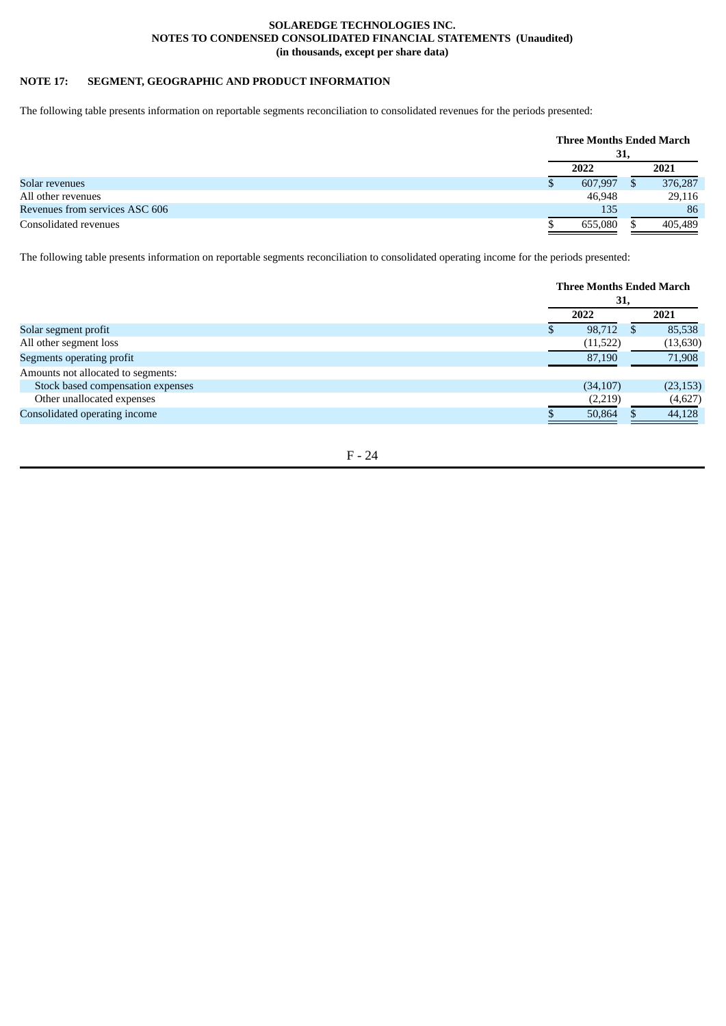# **NOTE 17: SEGMENT, GEOGRAPHIC AND PRODUCT INFORMATION**

The following table presents information on reportable segments reconciliation to consolidated revenues for the periods presented:

|                                | <b>Three Months Ended March</b><br>31, |         |
|--------------------------------|----------------------------------------|---------|
|                                | 2022                                   | 2021    |
| Solar revenues                 | 607,997                                | 376,287 |
| All other revenues             | 46,948                                 | 29,116  |
| Revenues from services ASC 606 | 135                                    | 86      |
| Consolidated revenues          | 655,080                                | 405,489 |

The following table presents information on reportable segments reconciliation to consolidated operating income for the periods presented:

|                                    | 31,       | <b>Three Months Ended March</b> |
|------------------------------------|-----------|---------------------------------|
|                                    | 2022      | 2021                            |
| Solar segment profit               | 98,712    | 85,538<br>Ъ                     |
| All other segment loss             | (11, 522) | (13, 630)                       |
| Segments operating profit          | 87,190    | 71,908                          |
| Amounts not allocated to segments: |           |                                 |
| Stock based compensation expenses  | (34, 107) | (23, 153)                       |
| Other unallocated expenses         | (2,219)   | (4,627)                         |
| Consolidated operating income      | 50,864    | 44,128                          |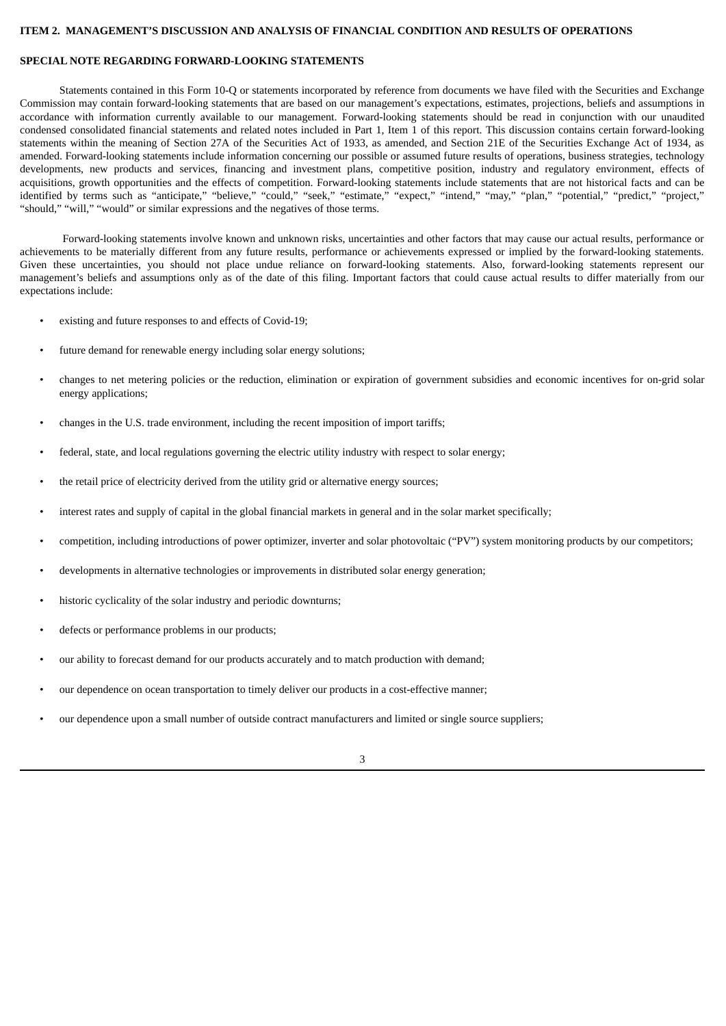#### <span id="page-27-0"></span>**ITEM 2. MANAGEMENT'S DISCUSSION AND ANALYSIS OF FINANCIAL CONDITION AND RESULTS OF OPERATIONS**

### **SPECIAL NOTE REGARDING FORWARD-LOOKING STATEMENTS**

Statements contained in this Form 10-Q or statements incorporated by reference from documents we have filed with the Securities and Exchange Commission may contain forward-looking statements that are based on our management's expectations, estimates, projections, beliefs and assumptions in accordance with information currently available to our management. Forward-looking statements should be read in conjunction with our unaudited condensed consolidated financial statements and related notes included in Part 1, Item 1 of this report. This discussion contains certain forward-looking statements within the meaning of Section 27A of the Securities Act of 1933, as amended, and Section 21E of the Securities Exchange Act of 1934, as amended. Forward-looking statements include information concerning our possible or assumed future results of operations, business strategies, technology developments, new products and services, financing and investment plans, competitive position, industry and regulatory environment, effects of acquisitions, growth opportunities and the effects of competition. Forward-looking statements include statements that are not historical facts and can be identified by terms such as "anticipate," "believe," "could," "seek," "estimate," "expect," "intend," "may," "plan," "potential," "prodict," "project," "should," "will," "would" or similar expressions and the negatives of those terms.

Forward-looking statements involve known and unknown risks, uncertainties and other factors that may cause our actual results, performance or achievements to be materially different from any future results, performance or achievements expressed or implied by the forward-looking statements. Given these uncertainties, you should not place undue reliance on forward-looking statements. Also, forward-looking statements represent our management's beliefs and assumptions only as of the date of this filing. Important factors that could cause actual results to differ materially from our expectations include:

- existing and future responses to and effects of Covid-19;
- future demand for renewable energy including solar energy solutions;
- changes to net metering policies or the reduction, elimination or expiration of government subsidies and economic incentives for on-grid solar energy applications;
- changes in the U.S. trade environment, including the recent imposition of import tariffs;
- federal, state, and local regulations governing the electric utility industry with respect to solar energy;
- the retail price of electricity derived from the utility grid or alternative energy sources;
- interest rates and supply of capital in the global financial markets in general and in the solar market specifically;
- competition, including introductions of power optimizer, inverter and solar photovoltaic ("PV") system monitoring products by our competitors;
- developments in alternative technologies or improvements in distributed solar energy generation;
- historic cyclicality of the solar industry and periodic downturns;
- defects or performance problems in our products;
- our ability to forecast demand for our products accurately and to match production with demand;
- our dependence on ocean transportation to timely deliver our products in a cost-effective manner;
- our dependence upon a small number of outside contract manufacturers and limited or single source suppliers;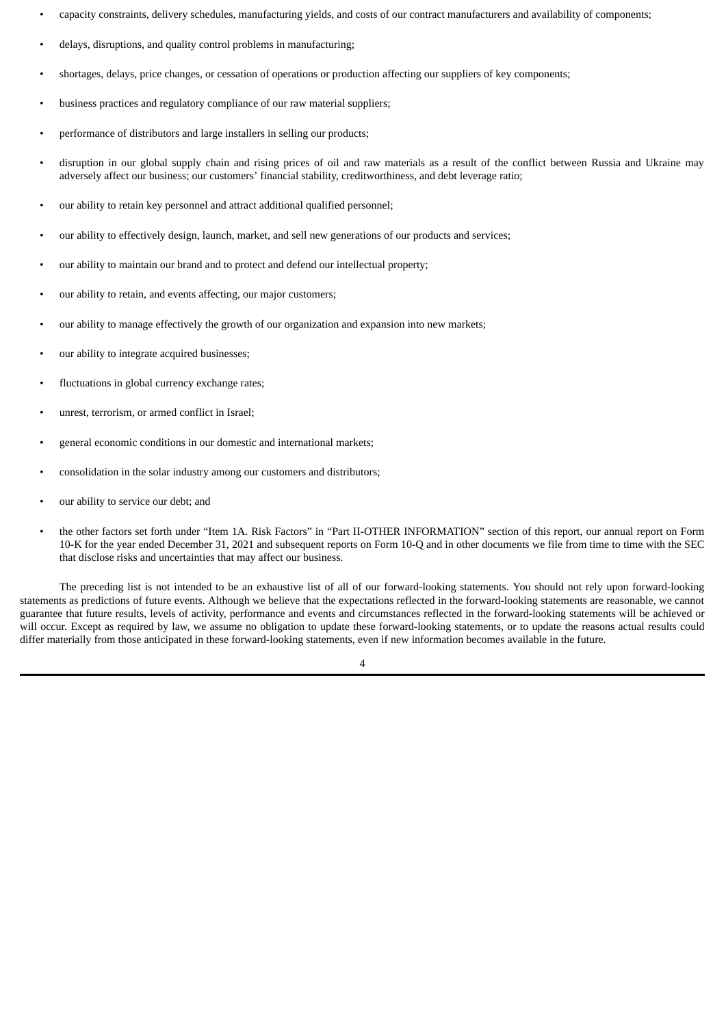- capacity constraints, delivery schedules, manufacturing yields, and costs of our contract manufacturers and availability of components;
- delays, disruptions, and quality control problems in manufacturing;
- shortages, delays, price changes, or cessation of operations or production affecting our suppliers of key components;
- business practices and regulatory compliance of our raw material suppliers;
- performance of distributors and large installers in selling our products;
- disruption in our global supply chain and rising prices of oil and raw materials as a result of the conflict between Russia and Ukraine may adversely affect our business; our customers' financial stability, creditworthiness, and debt leverage ratio;
- our ability to retain key personnel and attract additional qualified personnel;
- our ability to effectively design, launch, market, and sell new generations of our products and services;
- our ability to maintain our brand and to protect and defend our intellectual property;
- our ability to retain, and events affecting, our major customers;
- our ability to manage effectively the growth of our organization and expansion into new markets;
- our ability to integrate acquired businesses;
- fluctuations in global currency exchange rates;
- unrest, terrorism, or armed conflict in Israel;
- general economic conditions in our domestic and international markets;
- consolidation in the solar industry among our customers and distributors;
- our ability to service our debt; and
- the other factors set forth under "Item 1A. Risk Factors" in "Part II-OTHER INFORMATION" section of this report, our annual report on Form 10-K for the year ended December 31, 2021 and subsequent reports on Form 10-Q and in other documents we file from time to time with the SEC that disclose risks and uncertainties that may affect our business.

The preceding list is not intended to be an exhaustive list of all of our forward-looking statements. You should not rely upon forward-looking statements as predictions of future events. Although we believe that the expectations reflected in the forward-looking statements are reasonable, we cannot guarantee that future results, levels of activity, performance and events and circumstances reflected in the forward-looking statements will be achieved or will occur. Except as required by law, we assume no obligation to update these forward-looking statements, or to update the reasons actual results could differ materially from those anticipated in these forward-looking statements, even if new information becomes available in the future.

4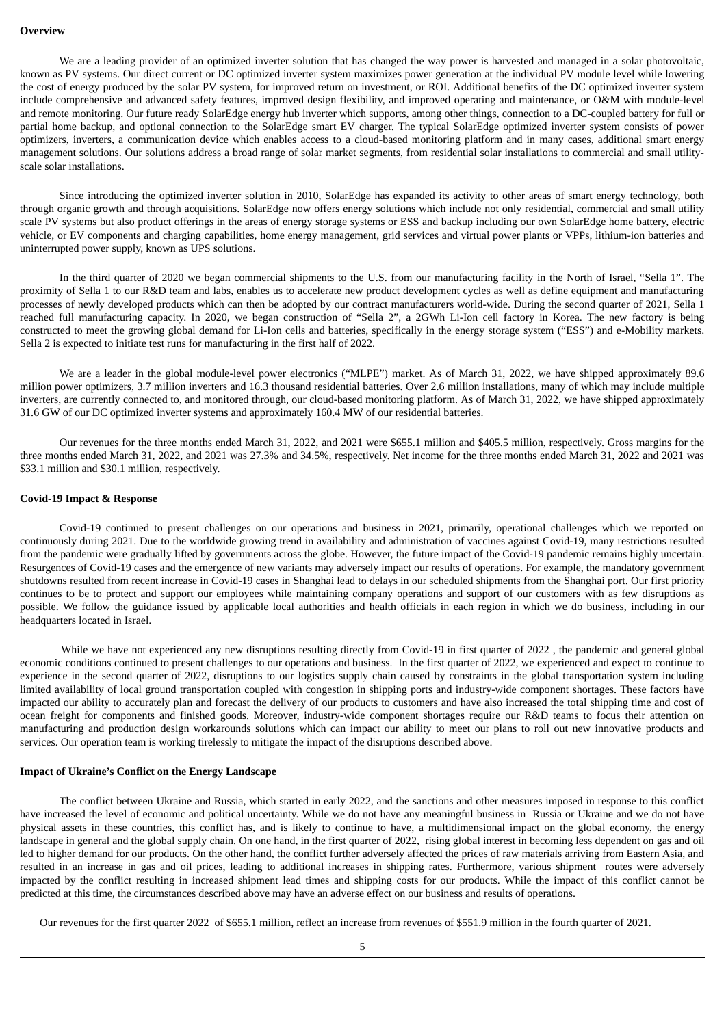#### **Overview**

We are a leading provider of an optimized inverter solution that has changed the way power is harvested and managed in a solar photovoltaic, known as PV systems. Our direct current or DC optimized inverter system maximizes power generation at the individual PV module level while lowering the cost of energy produced by the solar PV system, for improved return on investment, or ROI. Additional benefits of the DC optimized inverter system include comprehensive and advanced safety features, improved design flexibility, and improved operating and maintenance, or O&M with module-level and remote monitoring. Our future ready SolarEdge energy hub inverter which supports, among other things, connection to a DC-coupled battery for full or partial home backup, and optional connection to the SolarEdge smart EV charger. The typical SolarEdge optimized inverter system consists of power optimizers, inverters, a communication device which enables access to a cloud-based monitoring platform and in many cases, additional smart energy management solutions. Our solutions address a broad range of solar market segments, from residential solar installations to commercial and small utilityscale solar installations.

Since introducing the optimized inverter solution in 2010, SolarEdge has expanded its activity to other areas of smart energy technology, both through organic growth and through acquisitions. SolarEdge now offers energy solutions which include not only residential, commercial and small utility scale PV systems but also product offerings in the areas of energy storage systems or ESS and backup including our own SolarEdge home battery, electric vehicle, or EV components and charging capabilities, home energy management, grid services and virtual power plants or VPPs, lithium-ion batteries and uninterrupted power supply, known as UPS solutions.

In the third quarter of 2020 we began commercial shipments to the U.S. from our manufacturing facility in the North of Israel, "Sella 1". The proximity of Sella 1 to our R&D team and labs, enables us to accelerate new product development cycles as well as define equipment and manufacturing processes of newly developed products which can then be adopted by our contract manufacturers world-wide. During the second quarter of 2021, Sella 1 reached full manufacturing capacity. In 2020, we began construction of "Sella 2", a 2GWh Li-Ion cell factory in Korea. The new factory is being constructed to meet the growing global demand for Li-Ion cells and batteries, specifically in the energy storage system ("ESS") and e-Mobility markets. Sella 2 is expected to initiate test runs for manufacturing in the first half of 2022.

We are a leader in the global module-level power electronics ("MLPE") market. As of March 31, 2022, we have shipped approximately 89.6 million power optimizers, 3.7 million inverters and 16.3 thousand residential batteries. Over 2.6 million installations, many of which may include multiple inverters, are currently connected to, and monitored through, our cloud-based monitoring platform. As of March 31, 2022, we have shipped approximately 31.6 GW of our DC optimized inverter systems and approximately 160.4 MW of our residential batteries.

Our revenues for the three months ended March 31, 2022, and 2021 were \$655.1 million and \$405.5 million, respectively. Gross margins for the three months ended March 31, 2022, and 2021 was 27.3% and 34.5%, respectively. Net income for the three months ended March 31, 2022 and 2021 was \$33.1 million and \$30.1 million, respectively.

#### **Covid-19 Impact & Response**

Covid-19 continued to present challenges on our operations and business in 2021, primarily, operational challenges which we reported on continuously during 2021. Due to the worldwide growing trend in availability and administration of vaccines against Covid-19, many restrictions resulted from the pandemic were gradually lifted by governments across the globe. However, the future impact of the Covid-19 pandemic remains highly uncertain. Resurgences of Covid-19 cases and the emergence of new variants may adversely impact our results of operations. For example, the mandatory government shutdowns resulted from recent increase in Covid-19 cases in Shanghai lead to delays in our scheduled shipments from the Shanghai port. Our first priority continues to be to protect and support our employees while maintaining company operations and support of our customers with as few disruptions as possible. We follow the guidance issued by applicable local authorities and health officials in each region in which we do business, including in our headquarters located in Israel.

While we have not experienced any new disruptions resulting directly from Covid-19 in first quarter of 2022 , the pandemic and general global economic conditions continued to present challenges to our operations and business. In the first quarter of 2022, we experienced and expect to continue to experience in the second quarter of 2022, disruptions to our logistics supply chain caused by constraints in the global transportation system including limited availability of local ground transportation coupled with congestion in shipping ports and industry-wide component shortages. These factors have impacted our ability to accurately plan and forecast the delivery of our products to customers and have also increased the total shipping time and cost of ocean freight for components and finished goods. Moreover, industry-wide component shortages require our R&D teams to focus their attention on manufacturing and production design workarounds solutions which can impact our ability to meet our plans to roll out new innovative products and services. Our operation team is working tirelessly to mitigate the impact of the disruptions described above.

#### **Impact of Ukraine's Conflict on the Energy Landscape**

The conflict between Ukraine and Russia, which started in early 2022, and the sanctions and other measures imposed in response to this conflict have increased the level of economic and political uncertainty. While we do not have any meaningful business in Russia or Ukraine and we do not have physical assets in these countries, this conflict has, and is likely to continue to have, a multidimensional impact on the global economy, the energy landscape in general and the global supply chain. On one hand, in the first quarter of 2022, rising global interest in becoming less dependent on gas and oil led to higher demand for our products. On the other hand, the conflict further adversely affected the prices of raw materials arriving from Eastern Asia, and resulted in an increase in gas and oil prices, leading to additional increases in shipping rates. Furthermore, various shipment routes were adversely impacted by the conflict resulting in increased shipment lead times and shipping costs for our products. While the impact of this conflict cannot be predicted at this time, the circumstances described above may have an adverse effect on our business and results of operations.

Our revenues for the first quarter 2022 of \$655.1 million, reflect an increase from revenues of \$551.9 million in the fourth quarter of 2021.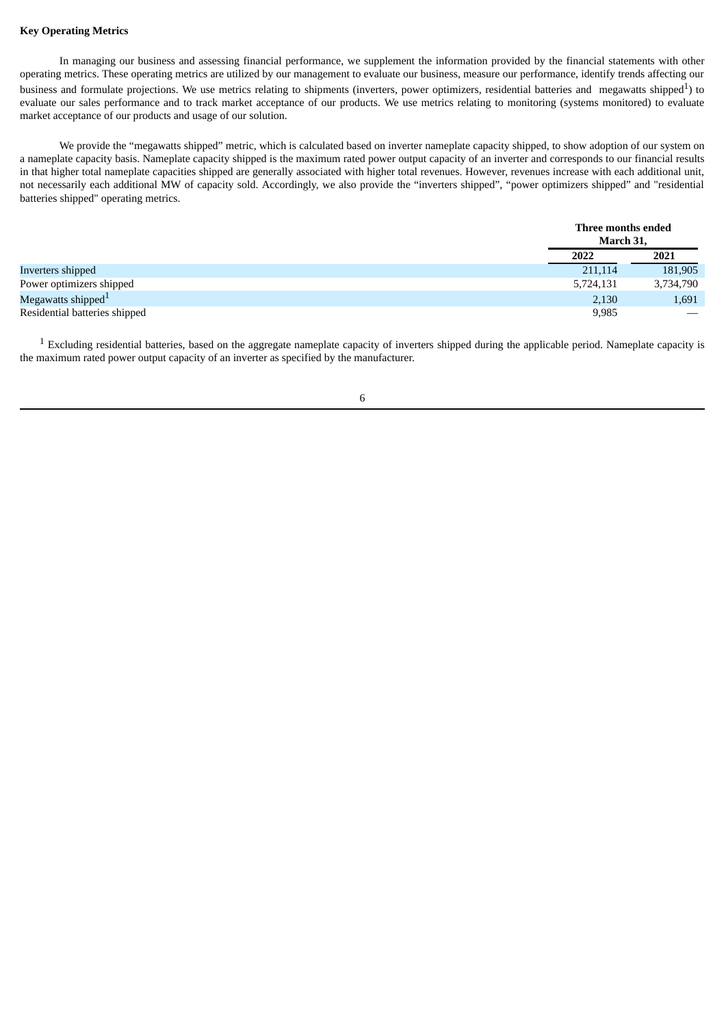#### **Key Operating Metrics**

In managing our business and assessing financial performance, we supplement the information provided by the financial statements with other operating metrics. These operating metrics are utilized by our management to evaluate our business, measure our performance, identify trends affecting our business and formulate projections. We use metrics relating to shipments (inverters, power optimizers, residential batteries and megawatts shipped $^1$ ) to evaluate our sales performance and to track market acceptance of our products. We use metrics relating to monitoring (systems monitored) to evaluate market acceptance of our products and usage of our solution.

We provide the "megawatts shipped" metric, which is calculated based on inverter nameplate capacity shipped, to show adoption of our system on a nameplate capacity basis. Nameplate capacity shipped is the maximum rated power output capacity of an inverter and corresponds to our financial results in that higher total nameplate capacities shipped are generally associated with higher total revenues. However, revenues increase with each additional unit, not necessarily each additional MW of capacity sold. Accordingly, we also provide the "inverters shipped", "power optimizers shipped" and "residential batteries shipped" operating metrics.

|                                | Three months ended<br>March 31, |                          |
|--------------------------------|---------------------------------|--------------------------|
|                                | 2022                            | 2021                     |
| Inverters shipped              | 211,114                         | 181,905                  |
| Power optimizers shipped       | 5,724,131                       | 3,734,790                |
| Megawatts shipped <sup>1</sup> | 2,130                           | 1,691                    |
| Residential batteries shipped  | 9,985                           | $\overline{\phantom{0}}$ |

 $1$  Excluding residential batteries, based on the aggregate nameplate capacity of inverters shipped during the applicable period. Nameplate capacity is the maximum rated power output capacity of an inverter as specified by the manufacturer.

6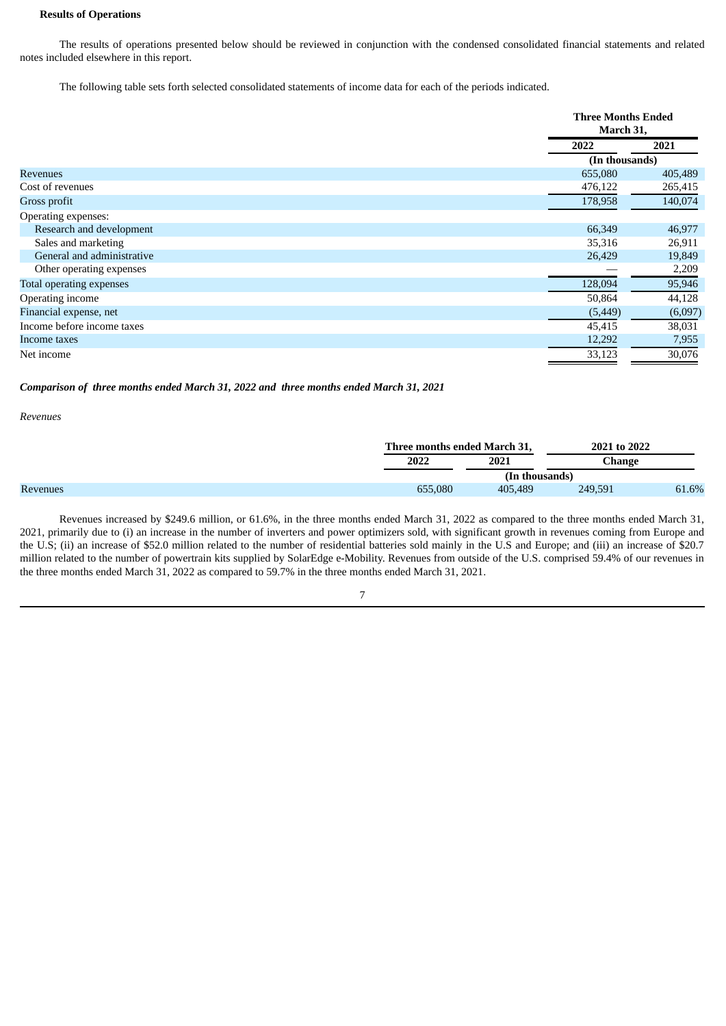#### **Results of Operations**

The results of operations presented below should be reviewed in conjunction with the condensed consolidated financial statements and related notes included elsewhere in this report.

The following table sets forth selected consolidated statements of income data for each of the periods indicated.

|                            | <b>Three Months Ended</b><br>March 31, |         |  |
|----------------------------|----------------------------------------|---------|--|
|                            | 2022                                   | 2021    |  |
|                            | (In thousands)                         |         |  |
| <b>Revenues</b>            | 655,080                                | 405,489 |  |
| Cost of revenues           | 476,122                                | 265,415 |  |
| Gross profit               | 178,958                                | 140,074 |  |
| Operating expenses:        |                                        |         |  |
| Research and development   | 66,349                                 | 46,977  |  |
| Sales and marketing        | 35,316                                 | 26,911  |  |
| General and administrative | 26,429                                 | 19,849  |  |
| Other operating expenses   |                                        | 2,209   |  |
| Total operating expenses   | 128,094                                | 95,946  |  |
| Operating income           | 50,864                                 | 44,128  |  |
| Financial expense, net     | (5, 449)                               | (6,097) |  |
| Income before income taxes | 45,415                                 | 38,031  |  |
| Income taxes               | 12,292                                 | 7,955   |  |
| Net income                 | 33,123                                 | 30,076  |  |

#### *Comparison of three months ended March 31, 2022 and three months ended March 31, 2021*

*Revenues*

|         |         | 2021 to 2022                 |                |
|---------|---------|------------------------------|----------------|
| 2022    | 2021    | Change                       |                |
|         |         |                              |                |
| 655.080 | 405,489 | 249,591                      | 61.6%          |
|         |         | Three months ended March 31, | (In thousands) |

Revenues increased by \$249.6 million, or 61.6%, in the three months ended March 31, 2022 as compared to the three months ended March 31, 2021, primarily due to (i) an increase in the number of inverters and power optimizers sold, with significant growth in revenues coming from Europe and the U.S; (ii) an increase of \$52.0 million related to the number of residential batteries sold mainly in the U.S and Europe; and (iii) an increase of \$20.7 million related to the number of powertrain kits supplied by SolarEdge e-Mobility. Revenues from outside of the U.S. comprised 59.4% of our revenues in the three months ended March 31, 2022 as compared to 59.7% in the three months ended March 31, 2021.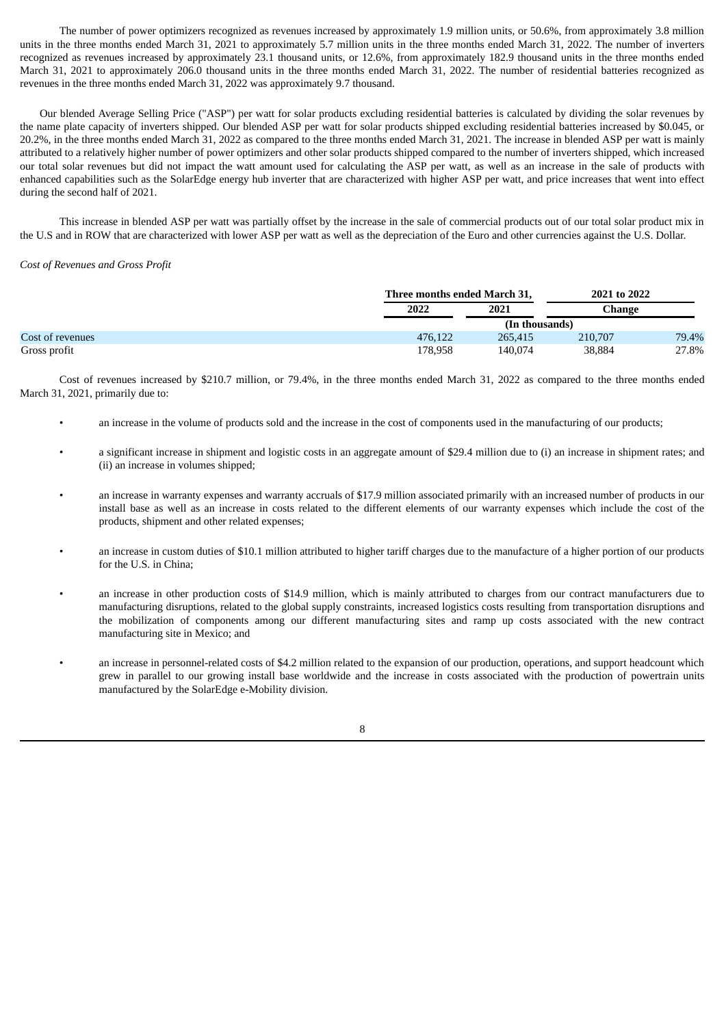The number of power optimizers recognized as revenues increased by approximately 1.9 million units, or 50.6%, from approximately 3.8 million units in the three months ended March 31, 2021 to approximately 5.7 million units in the three months ended March 31, 2022. The number of inverters recognized as revenues increased by approximately 23.1 thousand units, or 12.6%, from approximately 182.9 thousand units in the three months ended March 31, 2021 to approximately 206.0 thousand units in the three months ended March 31, 2022. The number of residential batteries recognized as revenues in the three months ended March 31, 2022 was approximately 9.7 thousand.

Our blended Average Selling Price ("ASP") per watt for solar products excluding residential batteries is calculated by dividing the solar revenues by the name plate capacity of inverters shipped. Our blended ASP per watt for solar products shipped excluding residential batteries increased by \$0.045, or 20.2%, in the three months ended March 31, 2022 as compared to the three months ended March 31, 2021. The increase in blended ASP per watt is mainly attributed to a relatively higher number of power optimizers and other solar products shipped compared to the number of inverters shipped, which increased our total solar revenues but did not impact the watt amount used for calculating the ASP per watt, as well as an increase in the sale of products with enhanced capabilities such as the SolarEdge energy hub inverter that are characterized with higher ASP per watt, and price increases that went into effect during the second half of 2021.

This increase in blended ASP per watt was partially offset by the increase in the sale of commercial products out of our total solar product mix in the U.S and in ROW that are characterized with lower ASP per watt as well as the depreciation of the Euro and other currencies against the U.S. Dollar.

#### *Cost of Revenues and Gross Profit*

|                  | Three months ended March 31, |                | 2021 to 2022 |       |
|------------------|------------------------------|----------------|--------------|-------|
|                  | 2022                         | 2021           | Change       |       |
|                  |                              | (In thousands) |              |       |
| Cost of revenues | 476.122                      | 265,415        | 210,707      | 79.4% |
| Gross profit     | 178,958                      | 140.074        | 38,884       | 27.8% |

Cost of revenues increased by \$210.7 million, or 79.4%, in the three months ended March 31, 2022 as compared to the three months ended March 31, 2021, primarily due to:

- an increase in the volume of products sold and the increase in the cost of components used in the manufacturing of our products;
- a significant increase in shipment and logistic costs in an aggregate amount of \$29.4 million due to (i) an increase in shipment rates; and (ii) an increase in volumes shipped;
- an increase in warranty expenses and warranty accruals of \$17.9 million associated primarily with an increased number of products in our install base as well as an increase in costs related to the different elements of our warranty expenses which include the cost of the products, shipment and other related expenses;
- an increase in custom duties of \$10.1 million attributed to higher tariff charges due to the manufacture of a higher portion of our products for the U.S. in China;
- an increase in other production costs of \$14.9 million, which is mainly attributed to charges from our contract manufacturers due to manufacturing disruptions, related to the global supply constraints, increased logistics costs resulting from transportation disruptions and the mobilization of components among our different manufacturing sites and ramp up costs associated with the new contract manufacturing site in Mexico; and
- an increase in personnel-related costs of \$4.2 million related to the expansion of our production, operations, and support headcount which grew in parallel to our growing install base worldwide and the increase in costs associated with the production of powertrain units manufactured by the SolarEdge e-Mobility division.

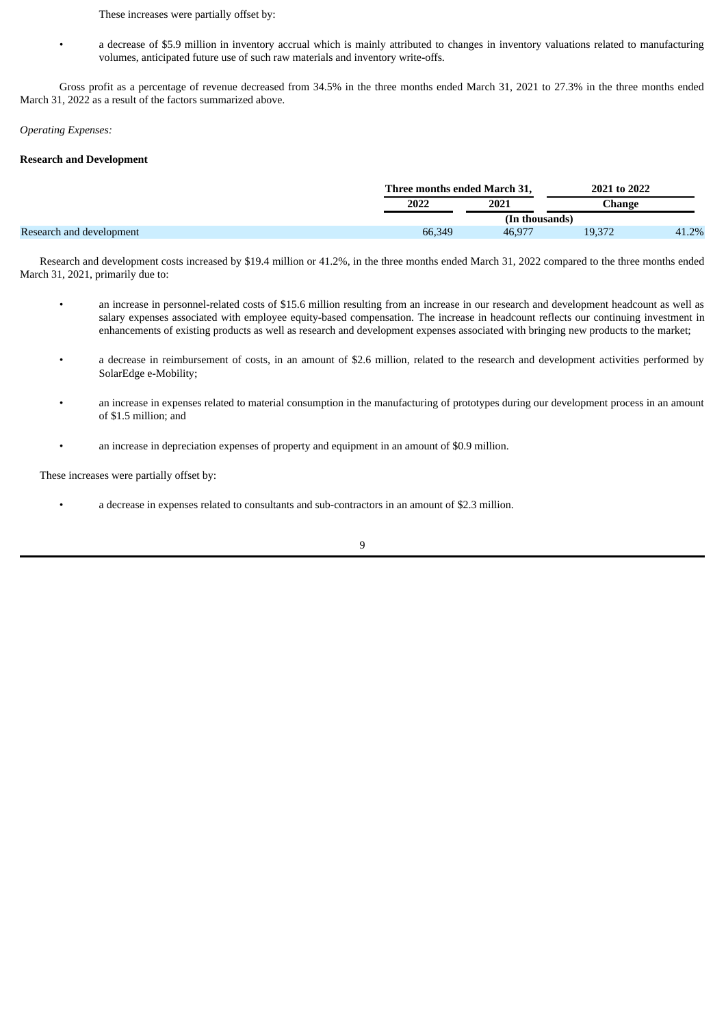These increases were partially offset by:

a decrease of \$5.9 million in inventory accrual which is mainly attributed to changes in inventory valuations related to manufacturing volumes, anticipated future use of such raw materials and inventory write-offs.

Gross profit as a percentage of revenue decreased from 34.5% in the three months ended March 31, 2021 to 27.3% in the three months ended March 31, 2022 as a result of the factors summarized above.

## *Operating Expenses:*

#### **Research and Development**

|        | Three months ended March 31, |        | 2021 to 2022 |
|--------|------------------------------|--------|--------------|
| 2022   | 2021                         | Change |              |
|        | (In thousands)               |        |              |
| 66,349 | 46,977                       | 19,372 | 41.2%        |

Research and development costs increased by \$19.4 million or 41.2%, in the three months ended March 31, 2022 compared to the three months ended March 31, 2021, primarily due to:

- an increase in personnel-related costs of \$15.6 million resulting from an increase in our research and development headcount as well as salary expenses associated with employee equity-based compensation. The increase in headcount reflects our continuing investment in enhancements of existing products as well as research and development expenses associated with bringing new products to the market;
- a decrease in reimbursement of costs, in an amount of \$2.6 million, related to the research and development activities performed by SolarEdge e-Mobility;
- an increase in expenses related to material consumption in the manufacturing of prototypes during our development process in an amount of \$1.5 million; and
- an increase in depreciation expenses of property and equipment in an amount of \$0.9 million.

These increases were partially offset by:

• a decrease in expenses related to consultants and sub-contractors in an amount of \$2.3 million.

9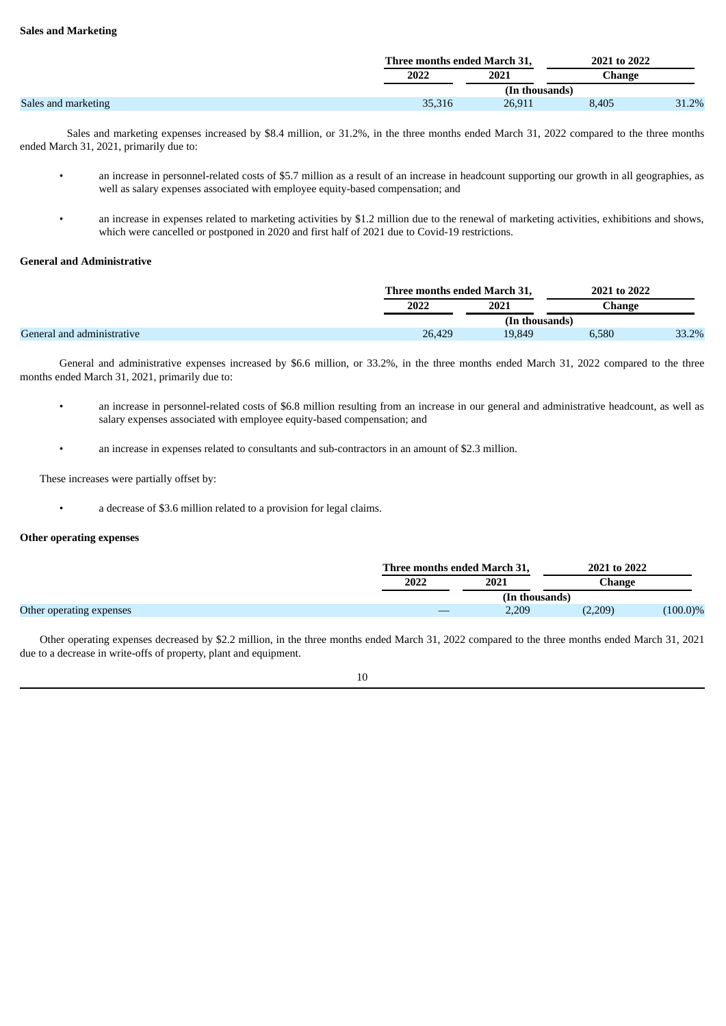|                     |        | Three months ended March 31, |        |       |
|---------------------|--------|------------------------------|--------|-------|
|                     | 2022   | 2021                         | Change |       |
|                     |        | (In thousands)               |        |       |
| Sales and marketing | 35,316 | 26,911                       | 8,405  | 31.2% |

Sales and marketing expenses increased by \$8.4 million, or 31.2%, in the three months ended March 31, 2022 compared to the three months ended March 31, 2021, primarily due to:

- an increase in personnel-related costs of \$5.7 million as a result of an increase in headcount supporting our growth in all geographies, as well as salary expenses associated with employee equity-based compensation; and
- an increase in expenses related to marketing activities by \$1.2 million due to the renewal of marketing activities, exhibitions and shows, which were cancelled or postponed in 2020 and first half of 2021 due to Covid-19 restrictions.

### **General and Administrative**

|                            | Three months ended March 31, |                | 2021 to 2022 |       |
|----------------------------|------------------------------|----------------|--------------|-------|
|                            | 2022                         | 2021           | $^n$ hange   |       |
|                            |                              | (In thousands) |              |       |
| General and administrative | 26,429                       | 19.849         | 6,580        | 33.2% |

General and administrative expenses increased by \$6.6 million, or 33.2%, in the three months ended March 31, 2022 compared to the three months ended March 31, 2021, primarily due to:

- an increase in personnel-related costs of \$6.8 million resulting from an increase in our general and administrative headcount, as well as salary expenses associated with employee equity-based compensation; and
- an increase in expenses related to consultants and sub-contractors in an amount of \$2.3 million.

These increases were partially offset by:

• a decrease of \$3.6 million related to a provision for legal claims.

#### **Other operating expenses**

|                          | Three months ended March 31, |                | 2021 to 2022 |              |  |
|--------------------------|------------------------------|----------------|--------------|--------------|--|
|                          | 2022                         | 2021           |              | $\cap$ hange |  |
|                          |                              | (In thousands) |              |              |  |
| Other operating expenses |                              | 2,209          | (2,209)      | $(100.0)\%$  |  |

Other operating expenses decreased by \$2.2 million, in the three months ended March 31, 2022 compared to the three months ended March 31, 2021 due to a decrease in write-offs of property, plant and equipment.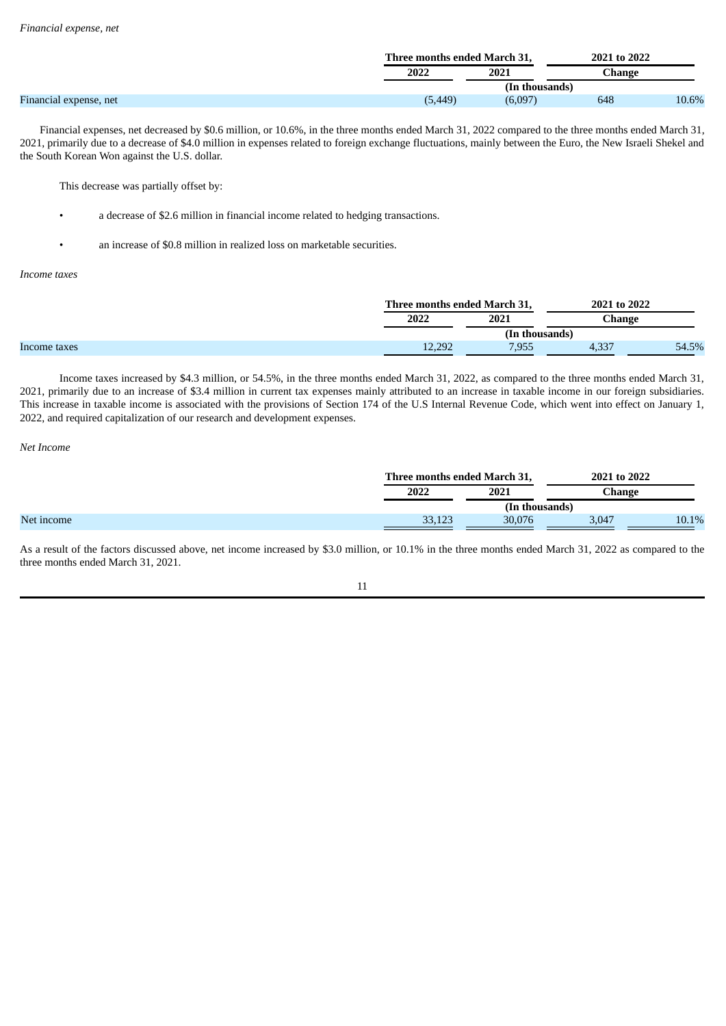|                        | Three months ended March 31, |                | 2021 to 2022 |       |
|------------------------|------------------------------|----------------|--------------|-------|
|                        | 2022                         | 2021           | Change       |       |
|                        |                              | (In thousands) |              |       |
| Financial expense, net | (5, 449)                     | (6,097)        | 648          | 10.6% |

Financial expenses, net decreased by \$0.6 million, or 10.6%, in the three months ended March 31, 2022 compared to the three months ended March 31, 2021, primarily due to a decrease of \$4.0 million in expenses related to foreign exchange fluctuations, mainly between the Euro, the New Israeli Shekel and the South Korean Won against the U.S. dollar.

This decrease was partially offset by:

- a decrease of \$2.6 million in financial income related to hedging transactions.
- an increase of \$0.8 million in realized loss on marketable securities.

## *Income taxes*

|              | Three months ended March 31, |       | 2021 to 2022 |       |  |
|--------------|------------------------------|-------|--------------|-------|--|
|              | 2021<br>2022                 |       | $C$ hange    |       |  |
|              | (In thousands)               |       |              |       |  |
| Income taxes | 12,292                       | 7,955 | <b>4,00.</b> | 54.5% |  |

Income taxes increased by \$4.3 million, or 54.5%, in the three months ended March 31, 2022, as compared to the three months ended March 31, 2021, primarily due to an increase of \$3.4 million in current tax expenses mainly attributed to an increase in taxable income in our foreign subsidiaries. This increase in taxable income is associated with the provisions of Section 174 of the U.S Internal Revenue Code, which went into effect on January 1, 2022, and required capitalization of our research and development expenses.

*Net Income*

|            | Three months ended March 31, |                    | 2021 to 2022 |       |
|------------|------------------------------|--------------------|--------------|-------|
|            | 2022                         | 2021<br>$^n$ hange |              |       |
|            |                              | (In thousands)     |              |       |
| Net income | 33,123                       | 30,076             | 3,047        | 10.1% |

As a result of the factors discussed above, net income increased by \$3.0 million, or 10.1% in the three months ended March 31, 2022 as compared to the three months ended March 31, 2021.

11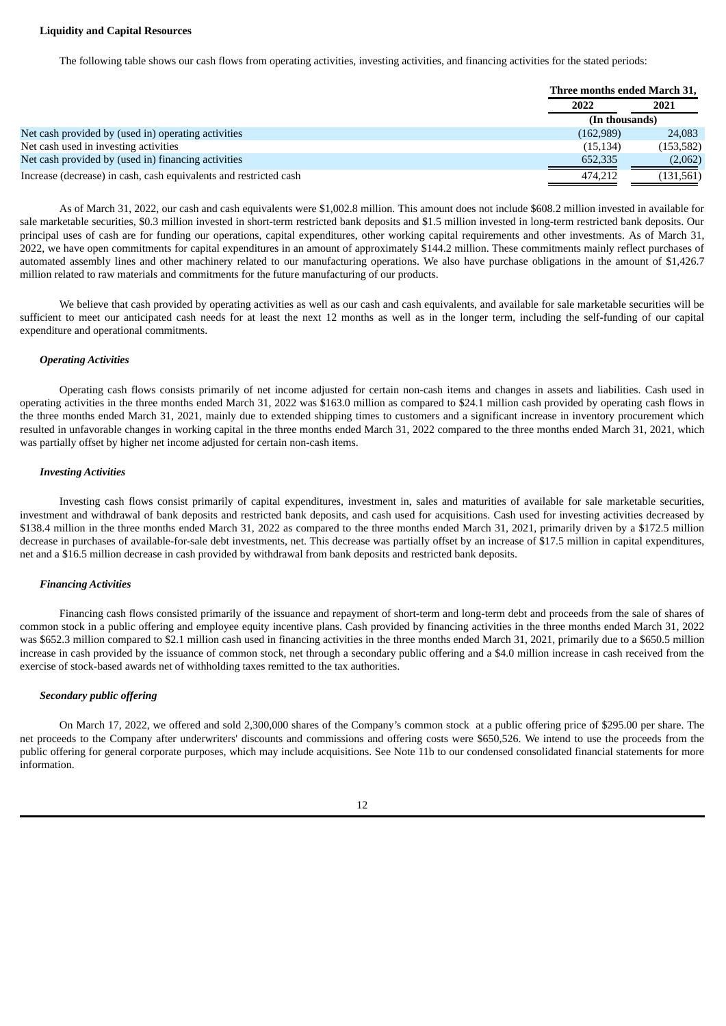#### **Liquidity and Capital Resources**

The following table shows our cash flows from operating activities, investing activities, and financing activities for the stated periods:

|                                                                   |           | Three months ended March 31, |  |
|-------------------------------------------------------------------|-----------|------------------------------|--|
|                                                                   | 2022      | 2021                         |  |
|                                                                   |           | (In thousands)               |  |
| Net cash provided by (used in) operating activities               | (162,989) | 24,083                       |  |
| Net cash used in investing activities                             | (15, 134) | (153, 582)                   |  |
| Net cash provided by (used in) financing activities               | 652.335   | (2,062)                      |  |
| Increase (decrease) in cash, cash equivalents and restricted cash | 474.212   | (131,561)                    |  |

As of March 31, 2022, our cash and cash equivalents were \$1,002.8 million. This amount does not include \$608.2 million invested in available for sale marketable securities, \$0.3 million invested in short-term restricted bank deposits and \$1.5 million invested in long-term restricted bank deposits. Our principal uses of cash are for funding our operations, capital expenditures, other working capital requirements and other investments. As of March 31, 2022, we have open commitments for capital expenditures in an amount of approximately \$144.2 million. These commitments mainly reflect purchases of automated assembly lines and other machinery related to our manufacturing operations. We also have purchase obligations in the amount of \$1,426.7 million related to raw materials and commitments for the future manufacturing of our products.

We believe that cash provided by operating activities as well as our cash and cash equivalents, and available for sale marketable securities will be sufficient to meet our anticipated cash needs for at least the next 12 months as well as in the longer term, including the self-funding of our capital expenditure and operational commitments.

## *Operating Activities*

Operating cash flows consists primarily of net income adjusted for certain non-cash items and changes in assets and liabilities. Cash used in operating activities in the three months ended March 31, 2022 was \$163.0 million as compared to \$24.1 million cash provided by operating cash flows in the three months ended March 31, 2021, mainly due to extended shipping times to customers and a significant increase in inventory procurement which resulted in unfavorable changes in working capital in the three months ended March 31, 2022 compared to the three months ended March 31, 2021, which was partially offset by higher net income adjusted for certain non-cash items.

#### *Investing Activities*

Investing cash flows consist primarily of capital expenditures, investment in, sales and maturities of available for sale marketable securities, investment and withdrawal of bank deposits and restricted bank deposits, and cash used for acquisitions. Cash used for investing activities decreased by \$138.4 million in the three months ended March 31, 2022 as compared to the three months ended March 31, 2021, primarily driven by a \$172.5 million decrease in purchases of available-for-sale debt investments, net. This decrease was partially offset by an increase of \$17.5 million in capital expenditures, net and a \$16.5 million decrease in cash provided by withdrawal from bank deposits and restricted bank deposits.

#### *Financing Activities*

Financing cash flows consisted primarily of the issuance and repayment of short-term and long-term debt and proceeds from the sale of shares of common stock in a public offering and employee equity incentive plans. Cash provided by financing activities in the three months ended March 31, 2022 was \$652.3 million compared to \$2.1 million cash used in financing activities in the three months ended March 31, 2021, primarily due to a \$650.5 million increase in cash provided by the issuance of common stock, net through a secondary public offering and a \$4.0 million increase in cash received from the exercise of stock-based awards net of withholding taxes remitted to the tax authorities.

#### *Secondary public offering*

On March 17, 2022, we offered and sold 2,300,000 shares of the Company's common stock at a public offering price of \$295.00 per share. The net proceeds to the Company after underwriters' discounts and commissions and offering costs were \$650,526. We intend to use the proceeds from the public offering for general corporate purposes, which may include acquisitions. See Note 11b to our condensed consolidated financial statements for more information.

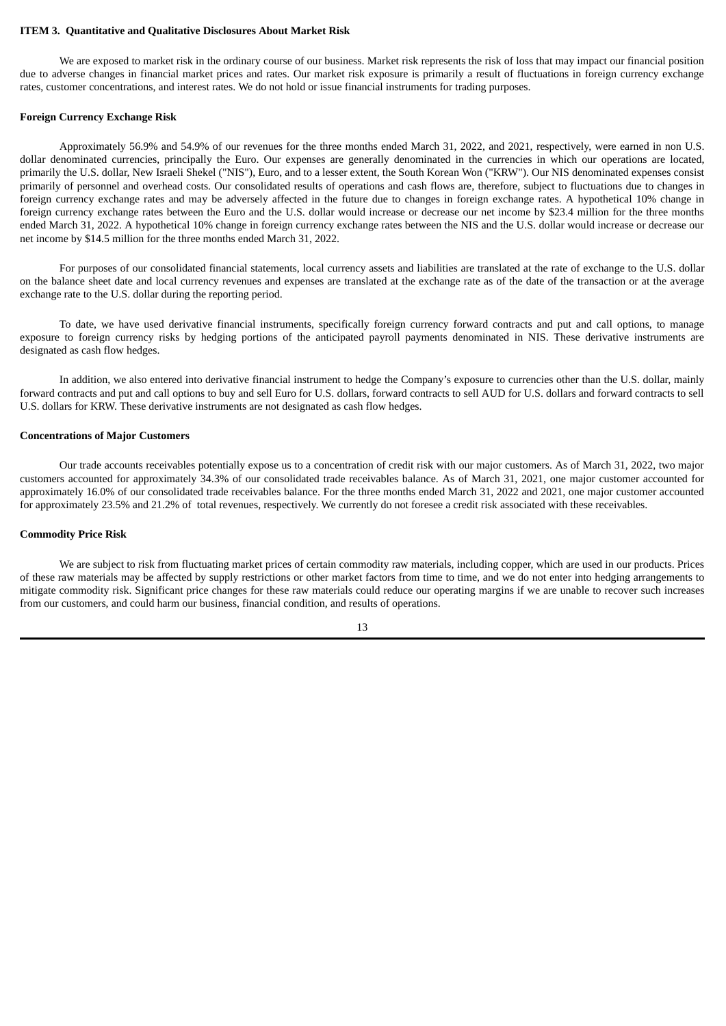#### <span id="page-37-0"></span>**ITEM 3. Quantitative and Qualitative Disclosures About Market Risk**

We are exposed to market risk in the ordinary course of our business. Market risk represents the risk of loss that may impact our financial position due to adverse changes in financial market prices and rates. Our market risk exposure is primarily a result of fluctuations in foreign currency exchange rates, customer concentrations, and interest rates. We do not hold or issue financial instruments for trading purposes.

#### **Foreign Currency Exchange Risk**

Approximately 56.9% and 54.9% of our revenues for the three months ended March 31, 2022, and 2021, respectively, were earned in non U.S. dollar denominated currencies, principally the Euro. Our expenses are generally denominated in the currencies in which our operations are located, primarily the U.S. dollar, New Israeli Shekel ("NIS"), Euro, and to a lesser extent, the South Korean Won ("KRW"). Our NIS denominated expenses consist primarily of personnel and overhead costs. Our consolidated results of operations and cash flows are, therefore, subject to fluctuations due to changes in foreign currency exchange rates and may be adversely affected in the future due to changes in foreign exchange rates. A hypothetical 10% change in foreign currency exchange rates between the Euro and the U.S. dollar would increase or decrease our net income by \$23.4 million for the three months ended March 31, 2022. A hypothetical 10% change in foreign currency exchange rates between the NIS and the U.S. dollar would increase or decrease our net income by \$14.5 million for the three months ended March 31, 2022.

For purposes of our consolidated financial statements, local currency assets and liabilities are translated at the rate of exchange to the U.S. dollar on the balance sheet date and local currency revenues and expenses are translated at the exchange rate as of the date of the transaction or at the average exchange rate to the U.S. dollar during the reporting period.

To date, we have used derivative financial instruments, specifically foreign currency forward contracts and put and call options, to manage exposure to foreign currency risks by hedging portions of the anticipated payroll payments denominated in NIS. These derivative instruments are designated as cash flow hedges.

In addition, we also entered into derivative financial instrument to hedge the Company's exposure to currencies other than the U.S. dollar, mainly forward contracts and put and call options to buy and sell Euro for U.S. dollars, forward contracts to sell AUD for U.S. dollars and forward contracts to sell U.S. dollars for KRW. These derivative instruments are not designated as cash flow hedges.

#### **Concentrations of Major Customers**

Our trade accounts receivables potentially expose us to a concentration of credit risk with our major customers. As of March 31, 2022, two major customers accounted for approximately 34.3% of our consolidated trade receivables balance. As of March 31, 2021, one major customer accounted for approximately 16.0% of our consolidated trade receivables balance. For the three months ended March 31, 2022 and 2021, one major customer accounted for approximately 23.5% and 21.2% of total revenues, respectively. We currently do not foresee a credit risk associated with these receivables.

#### **Commodity Price Risk**

We are subject to risk from fluctuating market prices of certain commodity raw materials, including copper, which are used in our products. Prices of these raw materials may be affected by supply restrictions or other market factors from time to time, and we do not enter into hedging arrangements to mitigate commodity risk. Significant price changes for these raw materials could reduce our operating margins if we are unable to recover such increases from our customers, and could harm our business, financial condition, and results of operations.

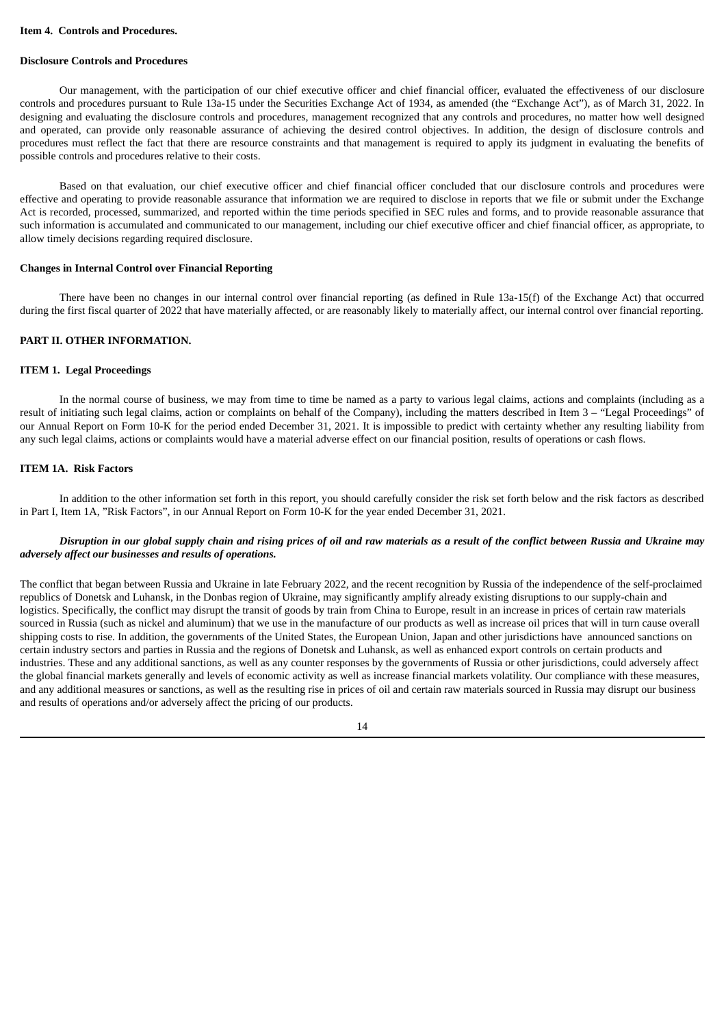#### <span id="page-38-0"></span>**Item 4. Controls and Procedures.**

#### **Disclosure Controls and Procedures**

Our management, with the participation of our chief executive officer and chief financial officer, evaluated the effectiveness of our disclosure controls and procedures pursuant to Rule 13a-15 under the Securities Exchange Act of 1934, as amended (the "Exchange Act"), as of March 31, 2022. In designing and evaluating the disclosure controls and procedures, management recognized that any controls and procedures, no matter how well designed and operated, can provide only reasonable assurance of achieving the desired control objectives. In addition, the design of disclosure controls and procedures must reflect the fact that there are resource constraints and that management is required to apply its judgment in evaluating the benefits of possible controls and procedures relative to their costs.

Based on that evaluation, our chief executive officer and chief financial officer concluded that our disclosure controls and procedures were effective and operating to provide reasonable assurance that information we are required to disclose in reports that we file or submit under the Exchange Act is recorded, processed, summarized, and reported within the time periods specified in SEC rules and forms, and to provide reasonable assurance that such information is accumulated and communicated to our management, including our chief executive officer and chief financial officer, as appropriate, to allow timely decisions regarding required disclosure.

#### **Changes in Internal Control over Financial Reporting**

There have been no changes in our internal control over financial reporting (as defined in Rule 13a-15(f) of the Exchange Act) that occurred during the first fiscal quarter of 2022 that have materially affected, or are reasonably likely to materially affect, our internal control over financial reporting.

### <span id="page-38-1"></span>**PART II. OTHER INFORMATION.**

#### <span id="page-38-2"></span>**ITEM 1. Legal Proceedings**

In the normal course of business, we may from time to time be named as a party to various legal claims, actions and complaints (including as a result of initiating such legal claims, action or complaints on behalf of the Company), including the matters described in Item 3 – "Legal Proceedings" of our Annual Report on Form 10-K for the period ended December 31, 2021. It is impossible to predict with certainty whether any resulting liability from any such legal claims, actions or complaints would have a material adverse effect on our financial position, results of operations or cash flows.

#### <span id="page-38-3"></span>**ITEM 1A. Risk Factors**

In addition to the other information set forth in this report, you should carefully consider the risk set forth below and the risk factors as described in Part I, Item 1A, "Risk Factors", in our Annual Report on Form 10-K for the year ended December 31, 2021.

### Disruption in our global supply chain and rising prices of oil and raw materials as a result of the conflict between Russia and Ukraine may *adversely affect our businesses and results of operations.*

The conflict that began between Russia and Ukraine in late February 2022, and the recent recognition by Russia of the independence of the self-proclaimed republics of Donetsk and Luhansk, in the Donbas region of Ukraine, may significantly amplify already existing disruptions to our supply-chain and logistics. Specifically, the conflict may disrupt the transit of goods by train from China to Europe, result in an increase in prices of certain raw materials sourced in Russia (such as nickel and aluminum) that we use in the manufacture of our products as well as increase oil prices that will in turn cause overall shipping costs to rise. In addition, the governments of the United States, the European Union, Japan and other jurisdictions have announced sanctions on certain industry sectors and parties in Russia and the regions of Donetsk and Luhansk, as well as enhanced export controls on certain products and industries. These and any additional sanctions, as well as any counter responses by the governments of Russia or other jurisdictions, could adversely affect the global financial markets generally and levels of economic activity as well as increase financial markets volatility. Our compliance with these measures, and any additional measures or sanctions, as well as the resulting rise in prices of oil and certain raw materials sourced in Russia may disrupt our business and results of operations and/or adversely affect the pricing of our products.

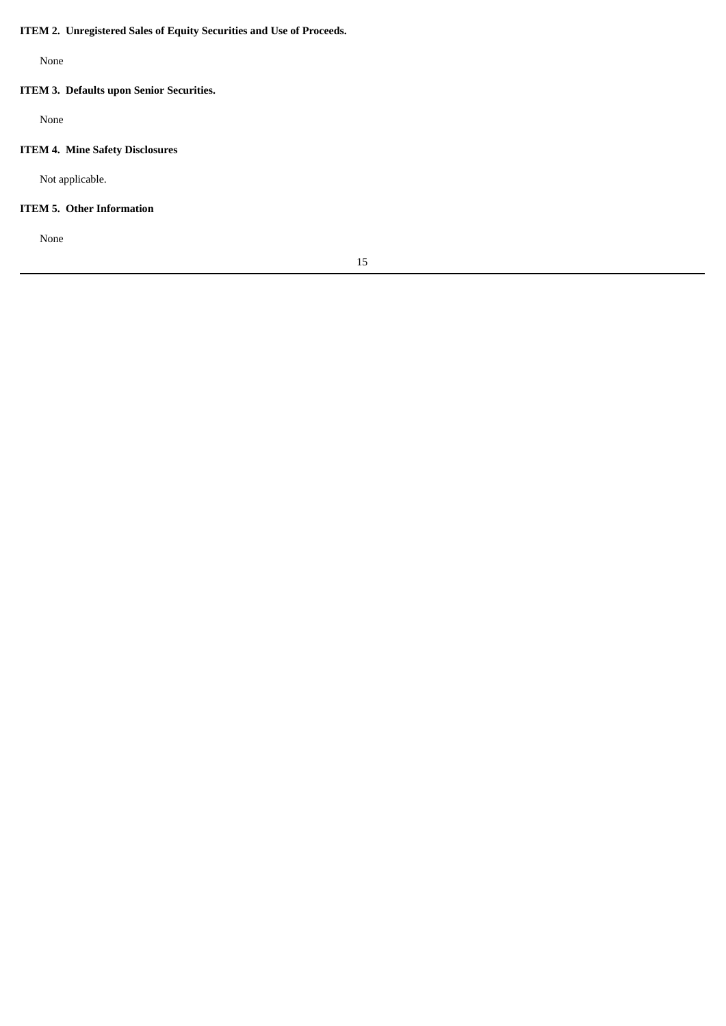# <span id="page-39-0"></span>**ITEM 2. Unregistered Sales of Equity Securities and Use of Proceeds.**

None

# <span id="page-39-1"></span>**ITEM 3. Defaults upon Senior Securities.**

None

# <span id="page-39-2"></span>**ITEM 4. Mine Safety Disclosures**

Not applicable.

# <span id="page-39-3"></span>**ITEM 5. Other Information**

None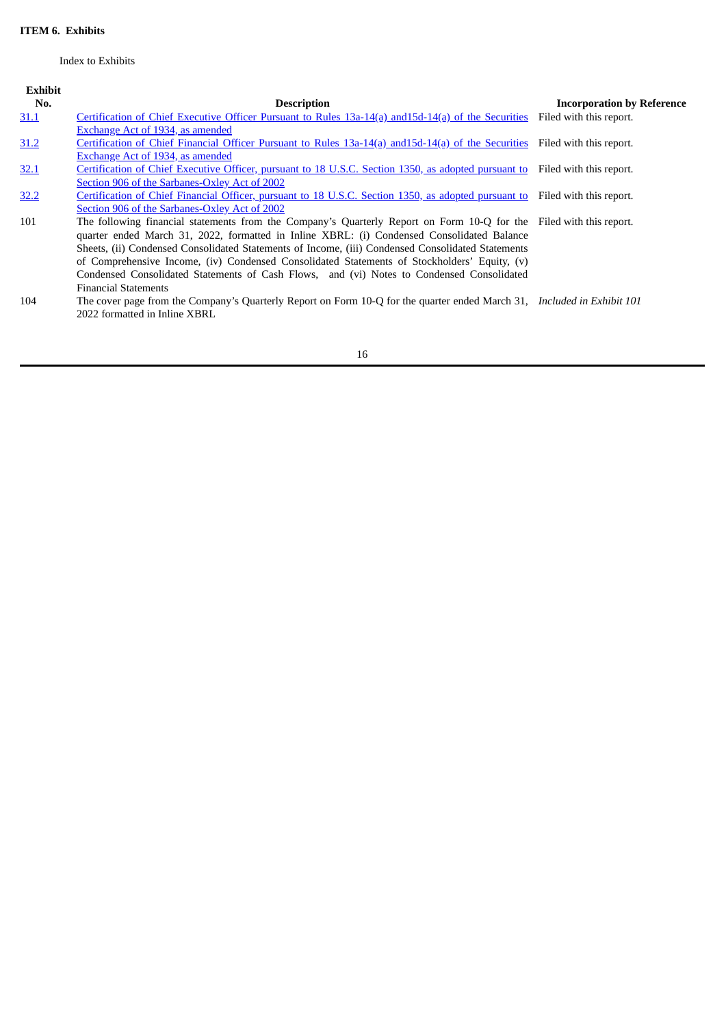#### <span id="page-40-0"></span>**ITEM 6. Exhibits**

Index to Exhibits

| Exhibit     |                                                                                                                                |                                   |
|-------------|--------------------------------------------------------------------------------------------------------------------------------|-----------------------------------|
| No.         | <b>Description</b>                                                                                                             | <b>Incorporation by Reference</b> |
| <u>31.1</u> | Certification of Chief Executive Officer Pursuant to Rules 13a-14(a) and 15d-14(a) of the Securities                           | Filed with this report.           |
|             | Exchange Act of 1934, as amended                                                                                               |                                   |
| 31.2        | Certification of Chief Financial Officer Pursuant to Rules 13a-14(a) and 15d-14(a) of the Securities Filed with this report.   |                                   |
|             | Exchange Act of 1934, as amended                                                                                               |                                   |
| 32.1        | Certification of Chief Executive Officer, pursuant to 18 U.S.C. Section 1350, as adopted pursuant to Filed with this report.   |                                   |
|             | Section 906 of the Sarbanes-Oxley Act of 2002                                                                                  |                                   |
| 32.2        | Certification of Chief Financial Officer, pursuant to 18 U.S.C. Section 1350, as adopted pursuant to                           | Filed with this report.           |
|             | Section 906 of the Sarbanes-Oxley Act of 2002                                                                                  |                                   |
| 101         | The following financial statements from the Company's Quarterly Report on Form 10-Q for the Filed with this report.            |                                   |
|             | quarter ended March 31, 2022, formatted in Inline XBRL: (i) Condensed Consolidated Balance                                     |                                   |
|             | Sheets, (ii) Condensed Consolidated Statements of Income, (iii) Condensed Consolidated Statements                              |                                   |
|             | of Comprehensive Income, (iv) Condensed Consolidated Statements of Stockholders' Equity, (v)                                   |                                   |
|             | Condensed Consolidated Statements of Cash Flows, and (vi) Notes to Condensed Consolidated                                      |                                   |
|             | <b>Financial Statements</b>                                                                                                    |                                   |
| 104         | The cover page from the Company's Quarterly Report on Form 10-Q for the quarter ended March 31, <i>Included in Exhibit 101</i> |                                   |
|             | 2022 formatted in Inline XBRL                                                                                                  |                                   |

16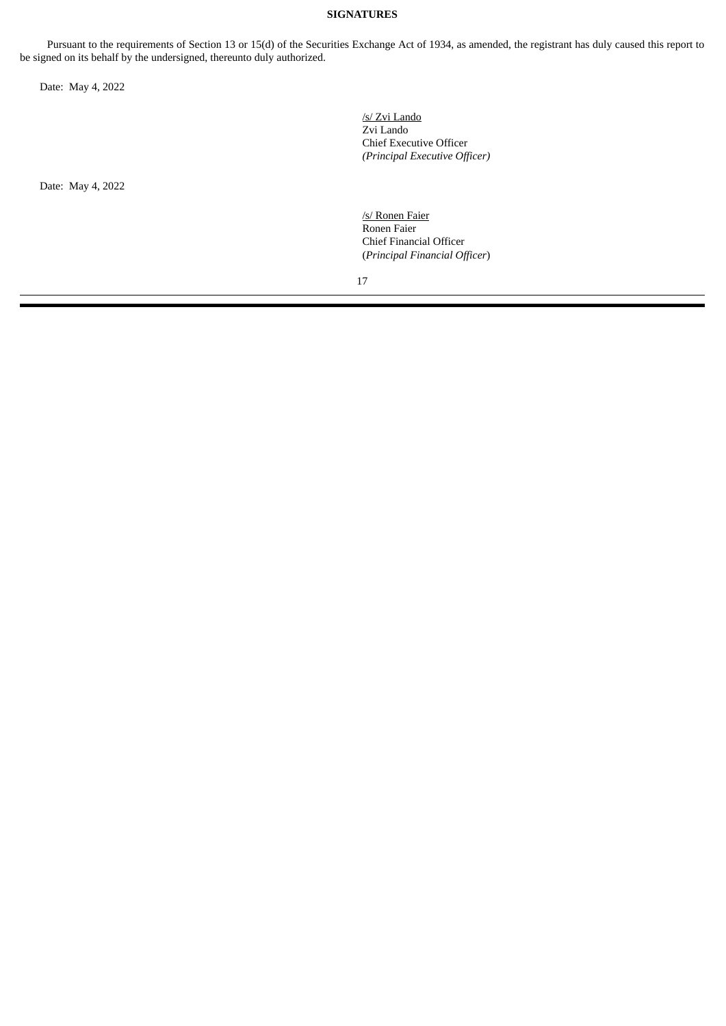## **SIGNATURES**

Pursuant to the requirements of Section 13 or 15(d) of the Securities Exchange Act of 1934, as amended, the registrant has duly caused this report to be signed on its behalf by the undersigned, thereunto duly authorized.

Date: May 4, 2022

/s/ Zvi Lando Zvi Lando Chief Executive Officer *(Principal Executive Officer)*

Date: May 4, 2022

/s/ Ronen Faier Ronen Faier Chief Financial Officer (*Principal Financial Officer*)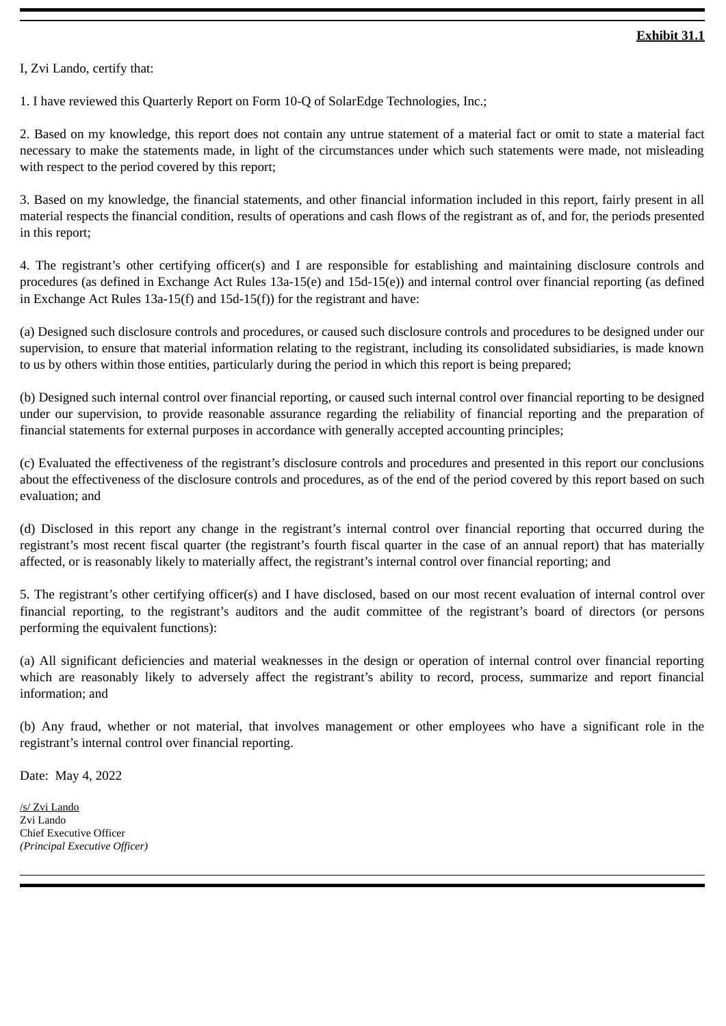<span id="page-42-0"></span>I, Zvi Lando, certify that:

1. I have reviewed this Quarterly Report on Form 10-Q of SolarEdge Technologies, Inc.;

2. Based on my knowledge, this report does not contain any untrue statement of a material fact or omit to state a material fact necessary to make the statements made, in light of the circumstances under which such statements were made, not misleading with respect to the period covered by this report;

3. Based on my knowledge, the financial statements, and other financial information included in this report, fairly present in all material respects the financial condition, results of operations and cash flows of the registrant as of, and for, the periods presented in this report;

4. The registrant's other certifying officer(s) and I are responsible for establishing and maintaining disclosure controls and procedures (as defined in Exchange Act Rules 13a-15(e) and 15d-15(e)) and internal control over financial reporting (as defined in Exchange Act Rules 13a-15(f) and 15d-15(f)) for the registrant and have:

(a) Designed such disclosure controls and procedures, or caused such disclosure controls and procedures to be designed under our supervision, to ensure that material information relating to the registrant, including its consolidated subsidiaries, is made known to us by others within those entities, particularly during the period in which this report is being prepared;

(b) Designed such internal control over financial reporting, or caused such internal control over financial reporting to be designed under our supervision, to provide reasonable assurance regarding the reliability of financial reporting and the preparation of financial statements for external purposes in accordance with generally accepted accounting principles;

(c) Evaluated the effectiveness of the registrant's disclosure controls and procedures and presented in this report our conclusions about the effectiveness of the disclosure controls and procedures, as of the end of the period covered by this report based on such evaluation; and

(d) Disclosed in this report any change in the registrant's internal control over financial reporting that occurred during the registrant's most recent fiscal quarter (the registrant's fourth fiscal quarter in the case of an annual report) that has materially affected, or is reasonably likely to materially affect, the registrant's internal control over financial reporting; and

5. The registrant's other certifying officer(s) and I have disclosed, based on our most recent evaluation of internal control over financial reporting, to the registrant's auditors and the audit committee of the registrant's board of directors (or persons performing the equivalent functions):

(a) All significant deficiencies and material weaknesses in the design or operation of internal control over financial reporting which are reasonably likely to adversely affect the registrant's ability to record, process, summarize and report financial information; and

(b) Any fraud, whether or not material, that involves management or other employees who have a significant role in the registrant's internal control over financial reporting.

Date: May 4, 2022

/s/ Zvi Lando Zvi Lando Chief Executive Officer *(Principal Executive Officer)*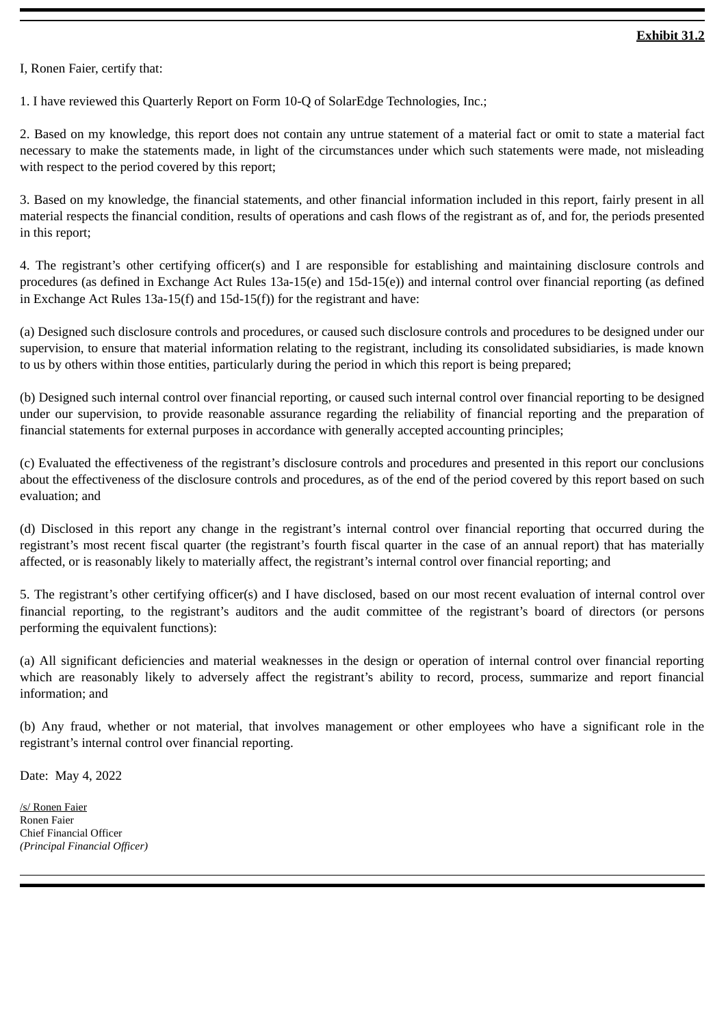<span id="page-43-0"></span>I, Ronen Faier, certify that:

1. I have reviewed this Quarterly Report on Form 10-Q of SolarEdge Technologies, Inc.;

2. Based on my knowledge, this report does not contain any untrue statement of a material fact or omit to state a material fact necessary to make the statements made, in light of the circumstances under which such statements were made, not misleading with respect to the period covered by this report;

3. Based on my knowledge, the financial statements, and other financial information included in this report, fairly present in all material respects the financial condition, results of operations and cash flows of the registrant as of, and for, the periods presented in this report;

4. The registrant's other certifying officer(s) and I are responsible for establishing and maintaining disclosure controls and procedures (as defined in Exchange Act Rules 13a-15(e) and 15d-15(e)) and internal control over financial reporting (as defined in Exchange Act Rules 13a-15(f) and 15d-15(f)) for the registrant and have:

(a) Designed such disclosure controls and procedures, or caused such disclosure controls and procedures to be designed under our supervision, to ensure that material information relating to the registrant, including its consolidated subsidiaries, is made known to us by others within those entities, particularly during the period in which this report is being prepared;

(b) Designed such internal control over financial reporting, or caused such internal control over financial reporting to be designed under our supervision, to provide reasonable assurance regarding the reliability of financial reporting and the preparation of financial statements for external purposes in accordance with generally accepted accounting principles;

(c) Evaluated the effectiveness of the registrant's disclosure controls and procedures and presented in this report our conclusions about the effectiveness of the disclosure controls and procedures, as of the end of the period covered by this report based on such evaluation; and

(d) Disclosed in this report any change in the registrant's internal control over financial reporting that occurred during the registrant's most recent fiscal quarter (the registrant's fourth fiscal quarter in the case of an annual report) that has materially affected, or is reasonably likely to materially affect, the registrant's internal control over financial reporting; and

5. The registrant's other certifying officer(s) and I have disclosed, based on our most recent evaluation of internal control over financial reporting, to the registrant's auditors and the audit committee of the registrant's board of directors (or persons performing the equivalent functions):

(a) All significant deficiencies and material weaknesses in the design or operation of internal control over financial reporting which are reasonably likely to adversely affect the registrant's ability to record, process, summarize and report financial information; and

(b) Any fraud, whether or not material, that involves management or other employees who have a significant role in the registrant's internal control over financial reporting.

Date: May 4, 2022

/s/ Ronen Faier Ronen Faier Chief Financial Officer *(Principal Financial Officer)*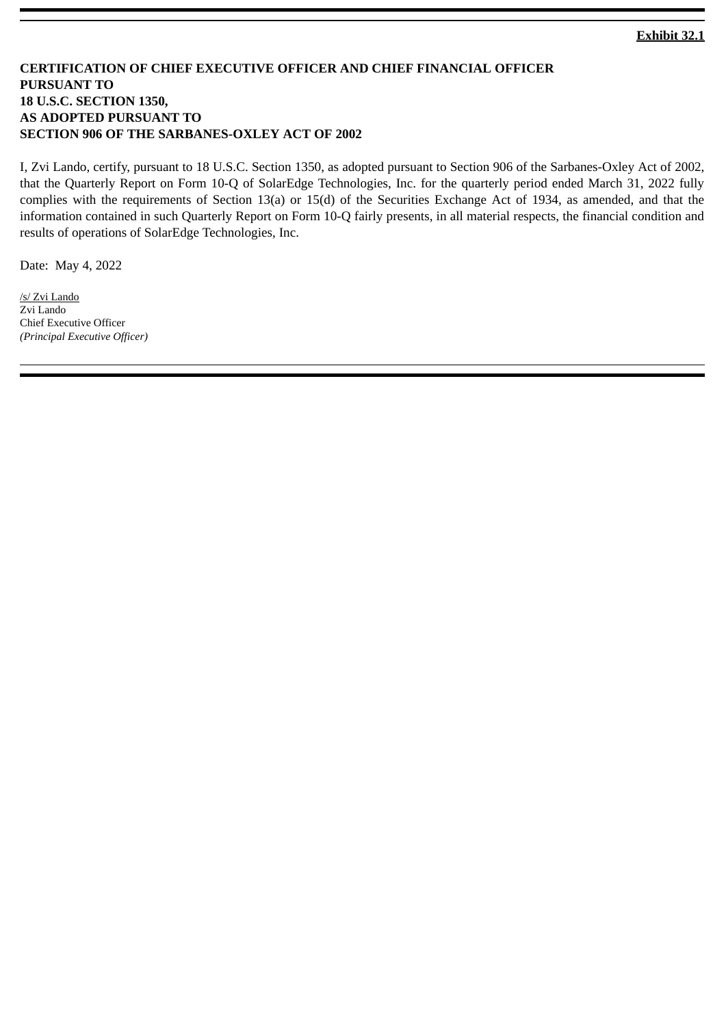# **Exhibit 32.1**

# <span id="page-44-0"></span>**CERTIFICATION OF CHIEF EXECUTIVE OFFICER AND CHIEF FINANCIAL OFFICER PURSUANT TO 18 U.S.C. SECTION 1350, AS ADOPTED PURSUANT TO SECTION 906 OF THE SARBANES-OXLEY ACT OF 2002**

I, Zvi Lando, certify, pursuant to 18 U.S.C. Section 1350, as adopted pursuant to Section 906 of the Sarbanes-Oxley Act of 2002, that the Quarterly Report on Form 10-Q of SolarEdge Technologies, Inc. for the quarterly period ended March 31, 2022 fully complies with the requirements of Section 13(a) or 15(d) of the Securities Exchange Act of 1934, as amended, and that the information contained in such Quarterly Report on Form 10-Q fairly presents, in all material respects, the financial condition and results of operations of SolarEdge Technologies, Inc.

Date: May 4, 2022

/s/ Zvi Lando Zvi Lando Chief Executive Officer *(Principal Executive Officer)*